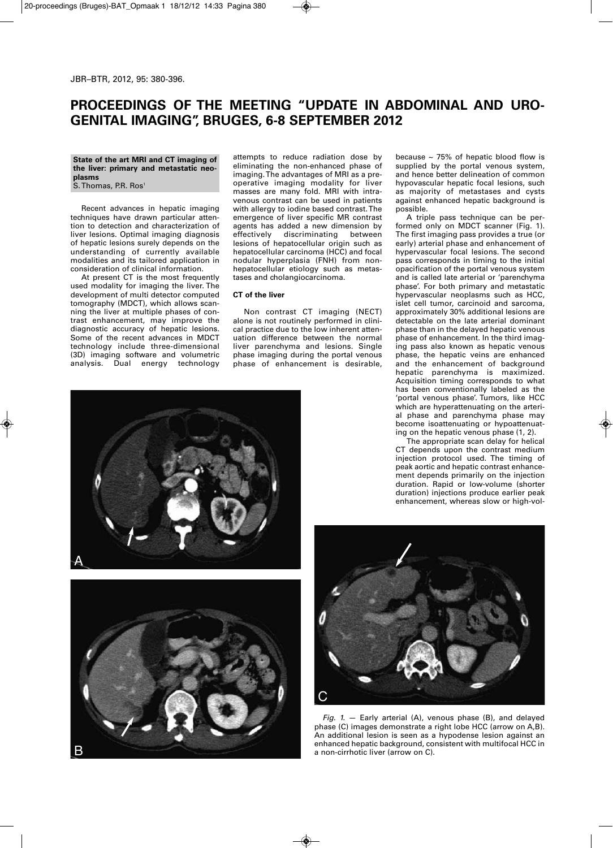# **PROCEEDINGS OF THE MEETING "UPDATE IN ABDOMINAL AND URO-GENITAL IMAGING", BRUGES, 6-8 SEPTEMBER 2012**

**State of the art MRI and CT imaging of the liver: primary and metastatic neoplasms** S. Thomas, P.R. Ros<sup>1</sup>

Recent advances in hepatic imaging techniques have drawn particular attention to detection and characterization of liver lesions. Optimal imaging diagnosis of hepatic lesions surely depends on the understanding of currently available modalities and its tailored application in consideration of clinical information.

At present CT is the most frequently used modality for imaging the liver. The development of multi detector computed tomography (MDCT), which allows scanning the liver at multiple phases of contrast enhancement, may improve the diagnostic accuracy of hepatic lesions. Some of the recent advances in MDCT technology include three-dimensional (3D) imaging software and volumetric analysis. Dual energy technology

attempts to reduce radiation dose by eliminating the non-enhanced phase of imaging.The advantages of MRI as a preoperative imaging modality for liver masses are many fold. MRI with intravenous contrast can be used in patients with allergy to iodine based contrast.The emergence of liver specific MR contrast agents has added a new dimension by effectively discriminating between lesions of hepatocellular origin such as hepatocellular carcinoma (HCC) and focal nodular hyperplasia (FNH) from nonhepatocellular etiology such as metastases and cholangiocarcinoma.

### **CT of the liver**

Non contrast CT imaging (NECT) alone is not routinely performed in clinical practice due to the low inherent attenuation difference between the normal liver parenchyma and lesions. Single phase imaging during the portal venous phase of enhancement is desirable,

because  $\sim$  75% of hepatic blood flow is supplied by the portal venous system, and hence better delineation of common hypovascular hepatic focal lesions, such as majority of metastases and cysts against enhanced hepatic background is possible.

A triple pass technique can be performed only on MDCT scanner (Fig. 1). The first imaging pass provides a true (or early) arterial phase and enhancement of hypervascular focal lesions. The second pass corresponds in timing to the initial opacification of the portal venous system and is called late arterial or 'parenchyma phase'. For both primary and metastatic hypervascular neoplasms such as HCC, islet cell tumor, carcinoid and sarcoma, approximately 30% additional lesions are detectable on the late arterial dominant phase than in the delayed hepatic venous phase of enhancement. In the third imaging pass also known as hepatic venous phase, the hepatic veins are enhanced and the enhancement of background hepatic parenchyma is maximized. Acquisition timing corresponds to what has been conventionally labeled as the 'portal venous phase'. Tumors, like HCC which are hyperattenuating on the arterial phase and parenchyma phase may become isoattenuating or hypoattenuating on the hepatic venous phase (1, 2).

The appropriate scan delay for helical CT depends upon the contrast medium injection protocol used. The timing of peak aortic and hepatic contrast enhancement depends primarily on the injection duration. Rapid or low-volume (shorter duration) injections produce earlier peak enhancement, whereas slow or high-vol-





*Fig. 1.* — Early arterial (A), venous phase (B), and delayed phase (C) images demonstrate a right lobe HCC (arrow on A,B). An additional lesion is seen as a hypodense lesion against an enhanced hepatic background, consistent with multifocal HCC in

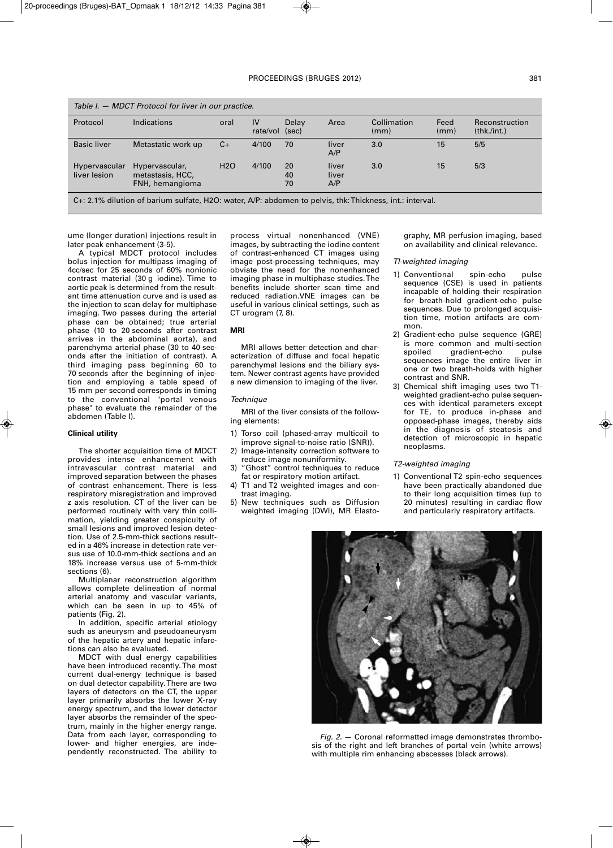| Table I. - MDCT Protocol for liver in our practice.                                                      |                                                       |                  |                |                |                       |                     |              |                               |
|----------------------------------------------------------------------------------------------------------|-------------------------------------------------------|------------------|----------------|----------------|-----------------------|---------------------|--------------|-------------------------------|
| Protocol                                                                                                 | Indications                                           | oral             | IV<br>rate/vol | Delav<br>(sec) | Area                  | Collimation<br>(mm) | Feed<br>(mm) | Reconstruction<br>(thk./int.) |
| <b>Basic liver</b>                                                                                       | Metastatic work up                                    | $C+$             | 4/100          | 70             | liver<br>A/P          | 3.0                 | 15           | 5/5                           |
| Hypervascular<br>liver lesion                                                                            | Hypervascular,<br>metastasis, HCC,<br>FNH, hemangioma | H <sub>2</sub> O | 4/100          | 20<br>40<br>70 | liver<br>liver<br>A/P | 3.0                 | 15           | 5/3                           |
| C+: 2.1% dilution of barium sulfate, H2O: water, A/P: abdomen to pelvis, thk: Thickness, int.: interval. |                                                       |                  |                |                |                       |                     |              |                               |

ume (longer duration) injections result in later peak enhancement (3-5).

A typical MDCT protocol includes bolus injection for multipass imaging of 4cc/sec for 25 seconds of 60% nonionic contrast material (30 g iodine). Time to aortic peak is determined from the resultant time attenuation curve and is used as the injection to scan delay for multiphase imaging. Two passes during the arterial phase can be obtained; true arterial phase (10 to 20 seconds after contrast arrives in the abdominal aorta), and parenchyma arterial phase (30 to 40 seconds after the initiation of contrast). A third imaging pass beginning 60 to 70 seconds after the beginning of injection and employing a table speed of 15 mm per second corresponds in timing to the conventional "portal venous phase" to evaluate the remainder of the abdomen (Table I).

# **Clinical utility**

The shorter acquisition time of MDCT provides intense enhancement with intravascular contrast material and improved separation between the phases of contrast enhancement. There is less respiratory misregistration and improved z axis resolution. CT of the liver can be performed routinely with very thin collimation, yielding greater conspicuity of small lesions and improved lesion detection. Use of 2.5-mm-thick sections resulted in a 46% increase in detection rate versus use of 10.0-mm-thick sections and an 18% increase versus use of 5-mm-thick sections (6).

Multiplanar reconstruction algorithm allows complete delineation of normal arterial anatomy and vascular variants, which can be seen in up to 45% of patients (Fig. 2).

In addition, specific arterial etiology such as aneurysm and pseudoaneurysm of the hepatic artery and hepatic infarctions can also be evaluated.

MDCT with dual energy capabilities have been introduced recently. The most current dual-energy technique is based on dual detector capability.There are two layers of detectors on the CT, the upper layer primarily absorbs the lower X-ray energy spectrum, and the lower detector layer absorbs the remainder of the spectrum, mainly in the higher energy range. Data from each layer, corresponding to lower- and higher energies, are independently reconstructed. The ability to

process virtual nonenhanced (VNE) images, by subtracting the iodine content of contrast-enhanced CT images using image post-processing techniques, may obviate the need for the nonenhanced imaging phase in multiphase studies.The benefits include shorter scan time and reduced radiation.VNE images can be useful in various clinical settings, such as CT urogram (7, 8).

# **MRI**

MRI allows better detection and characterization of diffuse and focal hepatic parenchymal lesions and the biliary system. Newer contrast agents have provided a new dimension to imaging of the liver.

#### *Technique*

MRI of the liver consists of the following elements:

- 1) Torso coil (phased-array multicoil to improve signal-to-noise ratio (SNR)).
- 2) Image-intensity correction software to reduce image nonuniformity.
- 3) "Ghost" control techniques to reduce fat or respiratory motion artifact.
- T1 and T2 weighted images and contrast imaging.
- 5) New techniques such as Diffusion weighted imaging (DWI), MR Elasto-

graphy, MR perfusion imaging, based on availability and clinical relevance.

### *TI-weighted imaging*

- 1) Conventional spin-echo pulse sequence (CSE) is used in patients incapable of holding their respiration for breath-hold gradient-echo pulse sequences. Due to prolonged acquisition time, motion artifacts are common.
- 2) Gradient-echo pulse sequence (GRE) is more common and multi-section<br>spoiled gradient-echo pulse gradient-echo pulse sequences image the entire liver in one or two breath-holds with higher contrast and SNR.
- 3) Chemical shift imaging uses two T1 weighted gradient-echo pulse sequences with identical parameters except for TE, to produce in-phase and opposed-phase images, thereby aids in the diagnosis of steatosis and detection of microscopic in hepatic neoplasms.

# *T2-weighted imaging*

1) Conventional T2 spin-echo sequences have been practically abandoned due to their long acquisition times (up to 20 minutes) resulting in cardiac flow and particularly respiratory artifacts.



*Fig. 2.* — Coronal reformatted image demonstrates thrombosis of the right and left branches of portal vein (white arrows) with multiple rim enhancing abscesses (black arrows).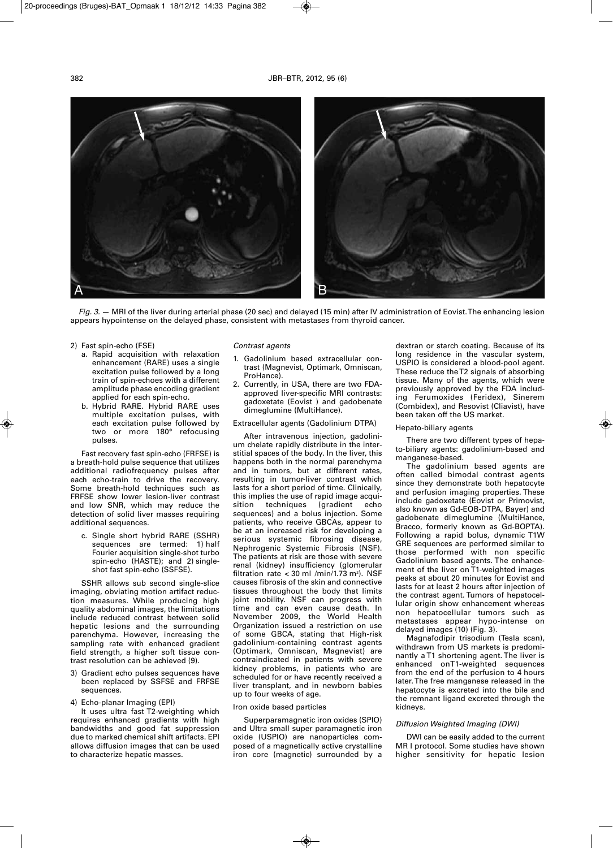

*Fig. 3.* — MRI of the liver during arterial phase (20 sec) and delayed (15 min) after IV administration of Eovist.The enhancing lesion appears hypointense on the delayed phase, consistent with metastases from thyroid cancer.

- 2) Fast spin-echo (FSE)
	- a. Rapid acquisition with relaxation enhancement (RARE) uses a single excitation pulse followed by a long train of spin-echoes with a different amplitude phase encoding gradient applied for each spin-echo.
	- b. Hybrid RARE. Hybrid RARE uses multiple excitation pulses, with each excitation pulse followed by two or more 180° refocusing pulses.

Fast recovery fast spin-echo (FRFSE) is a breath-hold pulse sequence that utilizes additional radiofrequency pulses after each echo-train to drive the recovery. Some breath-hold techniques such as FRFSE show lower lesion-liver contrast and low SNR, which may reduce the detection of solid liver masses requiring additional sequences.

c. Single short hybrid RARE (SSHR) sequences are termed: 1) half Fourier acquisition single-shot turbo spin-echo (HASTE); and 2) singleshot fast spin-echo (SSFSE).

SSHR allows sub second single-slice imaging, obviating motion artifact reduction measures. While producing high quality abdominal images, the limitations include reduced contrast between solid hepatic lesions and the surrounding parenchyma. However, increasing the sampling rate with enhanced gradient field strength, a higher soft tissue contrast resolution can be achieved (9).

- Gradient echo pulses sequences have been replaced by SSFSE and FRFSE sequences.
- 4) Echo-planar Imaging (EPI)

It uses ultra fast T2-weighting which requires enhanced gradients with high bandwidths and good fat suppression due to marked chemical shift artifacts. EPI allows diffusion images that can be used to characterize hepatic masses.

#### *Contrast agents*

- 1. Gadolinium based extracellular contrast (Magnevist, Optimark, Omniscan, ProHance).
- 2. Currently, in USA, there are two FDAapproved liver-specific MRI contrasts: gadoxetate (Eovist ) and gadobenate dimeglumine (MultiHance).

# Extracellular agents (Gadolinium DTPA)

After intravenous injection, gadolinium chelate rapidly distribute in the interstitial spaces of the body. In the liver, this happens both in the normal parenchyma and in tumors, but at different rates, resulting in tumor-liver contrast which lasts for a short period of time. Clinically, this implies the use of rapid image acquisition techniques (gradient echo sequences) and a bolus injection. Some patients, who receive GBCAs, appear to be at an increased risk for developing a serious systemic fibrosing disease, Nephrogenic Systemic Fibrosis (NSF). The patients at risk are those with severe renal (kidney) insufficiency (glomerular filtration rate  $<$  30 ml /min/1.73 m<sup>2</sup>). NSF causes fibrosis of the skin and connective tissues throughout the body that limits joint mobility. NSF can progress with time and can even cause death. In November 2009, the World Health Organization issued a restriction on use of some GBCA, stating that High-risk gadolinium-containing contrast agents (Optimark, Omniscan, Magnevist) are contraindicated in patients with severe kidney problems, in patients who are scheduled for or have recently received a liver transplant, and in newborn babies up to four weeks of age.

# Iron oxide based particles

Superparamagnetic iron oxides (SPIO) and Ultra small super paramagnetic iron oxide (USPIO) are nanoparticles composed of a magnetically active crystalline iron core (magnetic) surrounded by a

dextran or starch coating. Because of its long residence in the vascular system, USPIO is considered a blood-pool agent. These reduce theT2 signals of absorbing tissue. Many of the agents, which were previously approved by the FDA including Ferumoxides (Feridex), Sinerem (Combidex), and Resovist (Cliavist), have been taken off the US market.

# Hepato-biliary agents

There are two different types of hepato-biliary agents: gadolinium-based and manganese-based.

The gadolinium based agents are often called bimodal contrast agents since they demonstrate both hepatocyte and perfusion imaging properties. These include gadoxetate (Eovist or Primovist, also known as Gd-EOB-DTPA, Bayer) and gadobenate dimeglumine (MultiHance, Bracco, formerly known as Gd-BOPTA). Following a rapid bolus, dynamic T1W GRE sequences are performed similar to those performed with non specific Gadolinium based agents. The enhancement of the liver on T1-weighted images peaks at about 20 minutes for Eovist and lasts for at least 2 hours after injection of the contrast agent. Tumors of hepatocellular origin show enhancement whereas non hepatocellular tumors such as metastases appear hypo-intense on delayed images (10) (Fig. 3).

Magnafodipir trisodium (Tesla scan), withdrawn from US markets is predominantly a T1 shortening agent. The liver is enhanced onT1-weighted sequences from the end of the perfusion to 4 hours later.The free manganese released in the hepatocyte is excreted into the bile and the remnant ligand excreted through the kidneys.

# *Diffusion Weighted Imaging (DWI)*

DWI can be easily added to the current MR I protocol. Some studies have shown higher sensitivity for hepatic lesion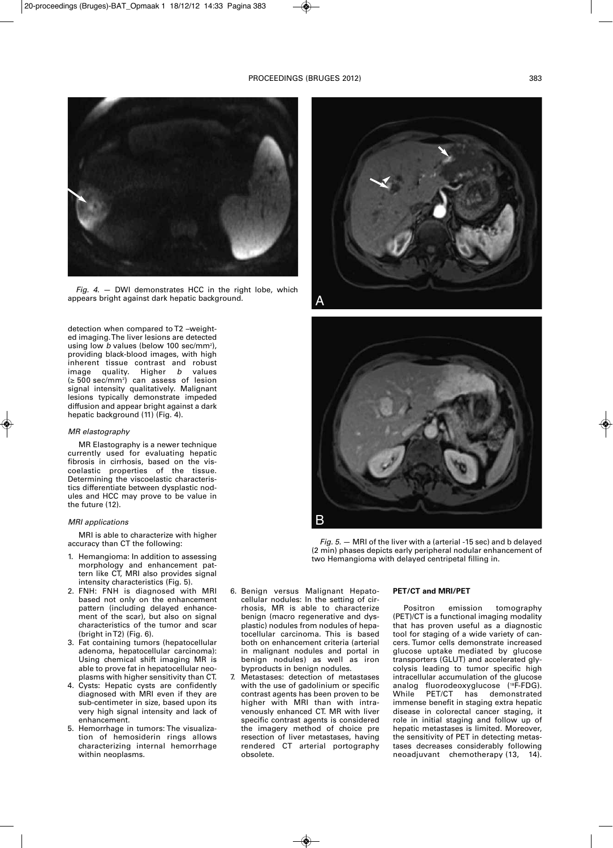# PROCEEDINGS (BRUGES 2012) 383



*Fig. 4.* — DWI demonstrates HCC in the right lobe, which appears bright against dark hepatic background.

detection when compared to T2 –weighted imaging.The liver lesions are detected using low *b* values (below 100 sec/mm<sup>2</sup>), providing black-blood images, with high inherent tissue contrast and robust<br>image quality. Higher  $b$  values image quality. Higher *b* values (≥ 500 sec/mm2 ) can assess of lesion signal intensity qualitatively. Malignant lesions typically demonstrate impeded diffusion and appear bright against a dark hepatic background (11) (Fig. 4).

#### *MR elastography*

MR Elastography is a newer technique currently used for evaluating hepatic fibrosis in cirrhosis, based on the viscoelastic properties of the tissue. Determining the viscoelastic characteristics differentiate between dysplastic nodules and HCC may prove to be value in the future (12).

#### *MRI applications*

MRI is able to characterize with higher accuracy than CT the following:

- 1. Hemangioma: In addition to assessing morphology and enhancement pattern like CT, MRI also provides signal intensity characteristics (Fig. 5).
- 2. FNH: FNH is diagnosed with MRI based not only on the enhancement pattern (including delayed enhancement of the scar), but also on signal characteristics of the tumor and scar (bright inT2) (Fig. 6).
- 3. Fat containing tumors (hepatocellular adenoma, hepatocellular carcinoma): Using chemical shift imaging MR is able to prove fat in hepatocellular neoplasms with higher sensitivity than CT.
- 4. Cysts: Hepatic cysts are confidently diagnosed with MRI even if they are sub-centimeter in size, based upon its very high signal intensity and lack of enhancement.
- 5. Hemorrhage in tumors: The visualization of hemosiderin rings allows characterizing internal hemorrhage within neoplasms.





*Fig. 5.* — MRI of the liver with a (arterial -15 sec) and b delayed (2 min) phases depicts early peripheral nodular enhancement of two Hemangioma with delayed centripetal filling in.

- 6. Benign versus Malignant Hepatocellular nodules: In the setting of cirrhosis, MR is able to characterize benign (macro regenerative and dysplastic) nodules from nodules of hepatocellular carcinoma. This is based both on enhancement criteria (arterial in malignant nodules and portal in benign nodules) as well as iron byproducts in benign nodules.
- 7. Metastases: detection of metastases with the use of gadolinium or specific contrast agents has been proven to be higher with MRI than with intravenously enhanced CT. MR with liver specific contrast agents is considered the imagery method of choice pre resection of liver metastases, having rendered CT arterial portography obsolete.

# **PET/CT and MRI/PET**

Positron emission tomography (PET)/CT is a functional imaging modality that has proven useful as a diagnostic tool for staging of a wide variety of cancers. Tumor cells demonstrate increased glucose uptake mediated by glucose transporters (GLUT) and accelerated glycolysis leading to tumor specific high intracellular accumulation of the glucose analog fluorodeoxyglucose (18 F-FDG). While PET/CT has demonstrated immense benefit in staging extra hepatic disease in colorectal cancer staging, it role in initial staging and follow up of hepatic metastases is limited. Moreover, the sensitivity of PET in detecting metastases decreases considerably following neoadjuvant chemotherapy (13, 14).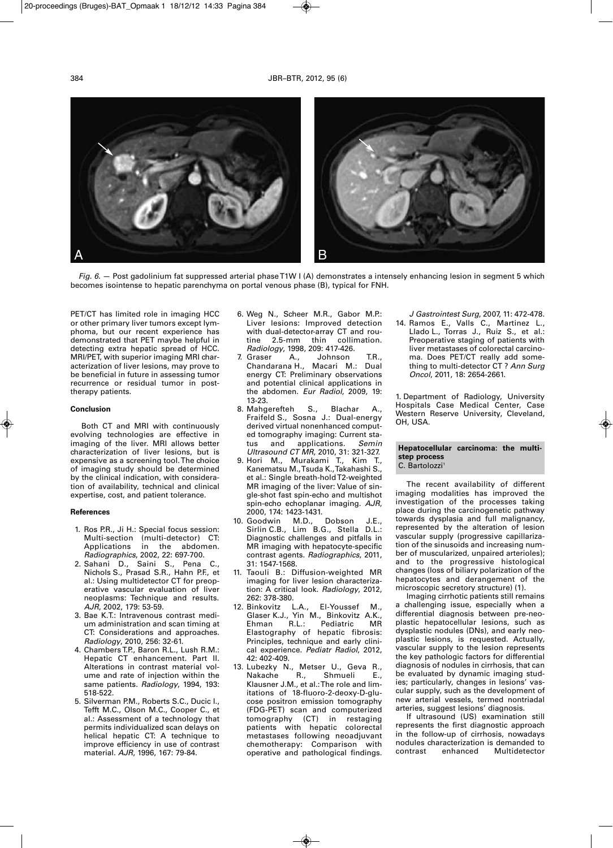

*Fig. 6.* — Post gadolinium fat suppressed arterial phaseT1W I (A) demonstrates a intensely enhancing lesion in segment 5 which becomes isointense to hepatic parenchyma on portal venous phase (B), typical for FNH.

PET/CT has limited role in imaging HCC or other primary liver tumors except lymphoma, but our recent experience has demonstrated that PET maybe helpful in detecting extra hepatic spread of HCC. MRI/PET, with superior imaging MRI characterization of liver lesions, may prove to be beneficial in future in assessing tumor recurrence or residual tumor in posttherapy patients.

#### **Conclusion**

Both CT and MRI with continuously evolving technologies are effective in imaging of the liver. MRI allows better characterization of liver lesions, but is expensive as a screening tool.The choice of imaging study should be determined by the clinical indication, with consideration of availability, technical and clinical expertise, cost, and patient tolerance.

#### **References**

- 1. Ros P.R., Ji H.: Special focus session: Multi-section (multi-detector) CT: Applications in the abdomen. *Radiographics*, 2002, 22: 697-700.
- 2. Sahani D., Saini S., Pena C., Nichols S., Prasad S.R., Hahn P.F., et al.: Using multidetector CT for preoperative vascular evaluation of liver neoplasms: Technique and results. *AJR*, 2002, 179: 53-59.
- 3. Bae K.T.: Intravenous contrast medium administration and scan timing at CT: Considerations and approaches. *Radiology*, 2010, 256: 32-61.
- 4. Chambers T.P., Baron R.L., Lush R.M.: Hepatic CT enhancement. Part II. Alterations in contrast material volume and rate of injection within the same patients*. Radiology*, 1994, 193: 518-522.
- 5. Silverman P.M., Roberts S.C., Ducic I., Tefft M.C., Olson M.C., Cooper C., et al.: Assessment of a technology that permits individualized scan delays on helical hepatic CT: A technique to improve efficiency in use of contrast material. *AJR*, 1996, 167: 79-84.
- 6. Weg N., Scheer M.R., Gabor M.P.: Liver lesions: Improved detection with dual-detector-array CT and rou-<br>tine 2.5-mm thin collimation. collimation. *Radiology*, 1998, 209: 417-426.
- 7. Graser A., Johnson T.R., Chandarana H., Macari, M.: Dual energy CT: Preliminary observations and potential clinical applications in the abdomen. *Eur Radiol*, 2009, 19: 13-23.
- 8. Mahgerefteh S., Blachar A., Fraifeld S., Sosna J.: Dual-energy derived virtual nonenhanced computed tomography imaging: Current sta-<br>tus and applications. Semin tus and applications. *Semin Ultrasound CT MR*, 2010, 31: 321-327.
- 9. Hori M., Murakami T., Kim T., Kanematsu M.,Tsuda K.,Takahashi S., et al.: Single breath-holdT2-weighted MR imaging of the liver: Value of single-shot fast spin-echo and multishot spin-echo echoplanar imaging. *AJR*, 2000, 174: 1423-1431.<br>Goodwin M.D.,
- 10. Goodwin M.D., Dobson J.E., Sirlin C.B., Lim B.G., Stella D.L.: Diagnostic challenges and pitfalls in MR imaging with hepatocyte-specific contrast agents. *Radiographics*, 2011, 31: 1547-1568.
- 11. Taouli B.: Diffusion-weighted MR imaging for liver lesion characterization: A critical look. *Radiology*, 2012,
- 262: 378-380.<br>12. Binkovitz L.A., 12. Binkovitz L.A., El-Youssef M., Glaser K.J., Yin M., Binkovitz A.K., Ehman R.L.: Pediatric MR Elastography of hepatic fibrosis: Principles, technique and early clinical experience. *Pediatr Radiol*, 2012,  $42.402 - 409$
- 13. Lubezky N., Metser U., Geva R.,<br>Nakache R., Shmueli E., Nakache R., Shmueli E., Klausner J.M., et al.:The role and limitations of 18-fluoro-2-deoxy-D-glucose positron emission tomography (FDG-PET) scan and computerized tomography (CT) in restaging patients with hepatic colorectal metastases following neoadjuvant chemotherapy: Comparison with operative and pathological findings.

*J Gastrointest Surg*, 2007, 11: 472-478.

14. Ramos E., Valls C., Martinez L., Llado L., Torras J., Ruiz S., et al.: Preoperative staging of patients with liver metastases of colorectal carcinoma. Does PET/CT really add something to multi-detector CT ? *Ann Surg Oncol*, 2011, 18: 2654-2661.

1. Department of Radiology, University Hospitals Case Medical Center, Case Western Reserve University, Cleveland, OH, USA.

**Hepatocellular carcinoma: the multistep process** C. Bartolozzi<sup>1</sup>

The recent availability of different imaging modalities has improved the investigation of the processes taking place during the carcinogenetic pathway towards dysplasia and full malignancy, represented by the alteration of lesion vascular supply (progressive capillarization of the sinusoids and increasing number of muscularized, unpaired arterioles); and to the progressive histological changes (loss of biliary polarization of the hepatocytes and derangement of the microscopic secretory structure) (1).

Imaging cirrhotic patients still remains a challenging issue, especially when a differential diagnosis between pre-neoplastic hepatocellular lesions, such as dysplastic nodules (DNs), and early neoplastic lesions, is requested. Actually, vascular supply to the lesion represents the key pathologic factors for differential diagnosis of nodules in cirrhosis, that can be evaluated by dynamic imaging studies; particularly, changes in lesions' vascular supply, such as the development of new arterial vessels, termed nontriadal arteries, suggest lesions' diagnosis.

If ultrasound (US) examination still represents the first diagnostic approach in the follow-up of cirrhosis, nowadays nodules characterization is demanded to<br>contrast enhanced Multidetector Multidetector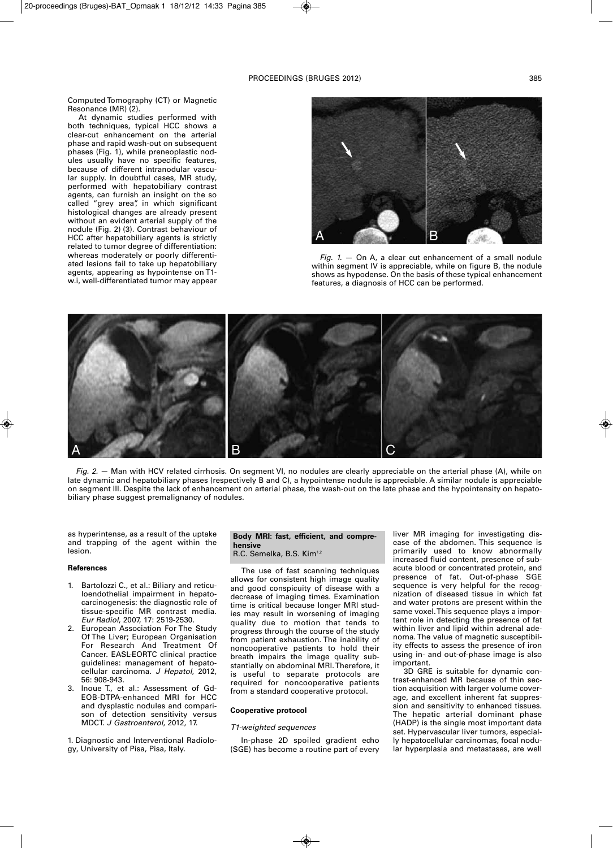Computed Tomography (CT) or Magnetic Resonance (MR) (2).

At dynamic studies performed with both techniques, typical HCC shows a clear-cut enhancement on the arterial phase and rapid wash-out on subsequent phases (Fig. 1), while preneoplastic nodules usually have no specific features, because of different intranodular vascular supply. In doubtful cases, MR study, performed with hepatobiliary contrast agents, can furnish an insight on the so called "grey area", in which significant histological changes are already present without an evident arterial supply of the nodule (Fig. 2) (3). Contrast behaviour of HCC after hepatobiliary agents is strictly related to tumor degree of differentiation: whereas moderately or poorly differentiated lesions fail to take up hepatobiliary agents, appearing as hypointense on T1 w.i, well-differentiated tumor may appear



*Fig. 1.* — On A, a clear cut enhancement of a small nodule within segment IV is appreciable, while on figure B, the nodule shows as hypodense. On the basis of these typical enhancement features, a diagnosis of HCC can be performed.



*Fig. 2.* — Man with HCV related cirrhosis. On segment VI, no nodules are clearly appreciable on the arterial phase (A), while on late dynamic and hepatobiliary phases (respectively B and C), a hypointense nodule is appreciable. A similar nodule is appreciable on segment III. Despite the lack of enhancement on arterial phase, the wash-out on the late phase and the hypointensity on hepatobiliary phase suggest premalignancy of nodules.

as hyperintense, as a result of the uptake and trapping of the agent within the lesion.

### **References**

- 1. Bartolozzi C., et al.: Biliary and reticuloendothelial impairment in hepatocarcinogenesis: the diagnostic role of tissue-specific MR contrast media. *Eur Radiol*, 2007, 17: 2519-2530.
- 2. European Association For The Study Of The Liver; European Organisation For Research And Treatment Of Cancer. EASL-EORTC clinical practice guidelines: management of hepatocellular carcinoma. *J Hepatol*, 2012, 56: 908-943.
- 3. Inoue T., et al.: Assessment of Gd-EOB-DTPA-enhanced MRI for HCC and dysplastic nodules and comparison of detection sensitivity versus MDCT. *J Gastroenterol*, 2012, 17.

1. Diagnostic and Interventional Radiolo-

gy, University of Pisa, Pisa, Italy.

# **Body MRI: fast, efficient, and comprehensive** R.C. Semelka, B.S. Kim<sup>1,2</sup>

The use of fast scanning techniques allows for consistent high image quality and good conspicuity of disease with a decrease of imaging times. Examination time is critical because longer MRI studies may result in worsening of imaging quality due to motion that tends to progress through the course of the study from patient exhaustion. The inability of noncooperative patients to hold their breath impairs the image quality substantially on abdominal MRI.Therefore, it is useful to separate protocols are required for noncooperative patients from a standard cooperative protocol.

# **Cooperative protocol**

#### *T1-weighted sequences*

In-phase 2D spoiled gradient echo (SGE) has become a routine part of every

liver MR imaging for investigating disease of the abdomen. This sequence is primarily used to know abnormally increased fluid content, presence of subacute blood or concentrated protein, and presence of fat. Out-of-phase SGE sequence is very helpful for the recognization of diseased tissue in which fat and water protons are present within the same voxel.This sequence plays a important role in detecting the presence of fat within liver and lipid within adrenal adenoma.The value of magnetic susceptibility effects to assess the presence of iron using in- and out-of-phase image is also important.

3D GRE is suitable for dynamic contrast-enhanced MR because of thin section acquisition with larger volume coverage, and excellent inherent fat suppression and sensitivity to enhanced tissues. The hepatic arterial dominant phase (HADP) is the single most important data set. Hypervascular liver tumors, especially hepatocellular carcinomas, focal nodular hyperplasia and metastases, are well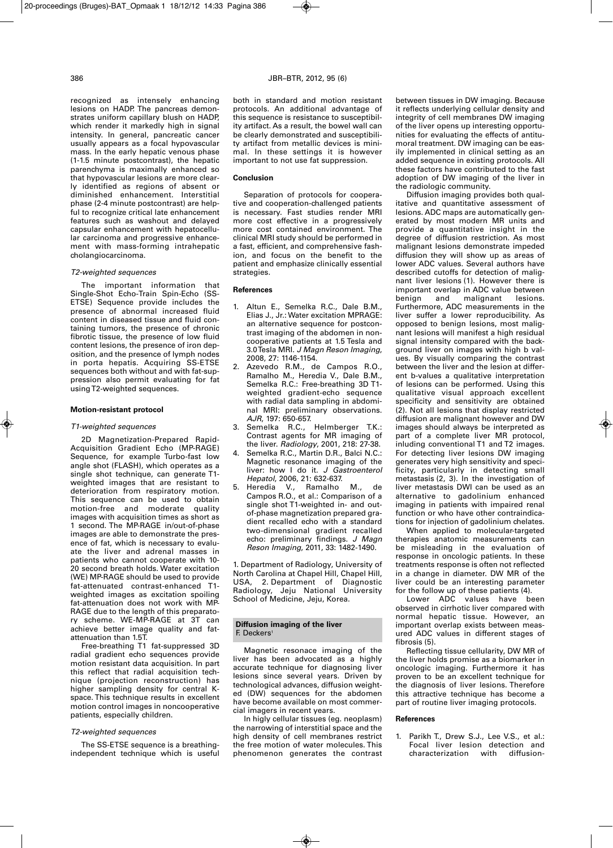recognized as intensely enhancing lesions on HADP. The pancreas demonstrates uniform capillary blush on HADP, which render it markedly high in signal intensity. In general, pancreatic cancer usually appears as a focal hypovascular mass. In the early hepatic venous phase (1-1.5 minute postcontrast), the hepatic parenchyma is maximally enhanced so that hypovascular lesions are more clearly identified as regions of absent or diminished enhancement. Interstitial phase (2-4 minute postcontrast) are helpful to recognize critical late enhancement features such as washout and delayed capsular enhancement with hepatocellular carcinoma and progressive enhancement with mass-forming intrahepatic cholangiocarcinoma.

#### *T2-weighted sequences*

The important information that Single-Shot Echo-Train Spin-Echo (SS-ETSE) Sequence provide includes the presence of abnormal increased fluid content in diseased tissue and fluid containing tumors, the presence of chronic fibrotic tissue, the presence of low fluid content lesions, the presence of iron deposition, and the presence of lymph nodes in porta hepatis. Acquiring SS-ETSE sequences both without and with fat-suppression also permit evaluating for fat usingT2-weighted sequences.

### **Motion-resistant protocol**

#### *T1-weighted sequences*

2D Magnetization-Prepared Rapid-Acquisition Gradient Echo (MP-RAGE) Sequence, for example Turbo-fast low angle shot (FLASH), which operates as a single shot technique, can generate T1 weighted images that are resistant to deterioration from respiratory motion. This sequence can be used to obtain motion-free and moderate quality images with acquisition times as short as 1 second. The MP-RAGE in/out-of-phase images are able to demonstrate the presence of fat, which is necessary to evaluate the liver and adrenal masses in patients who cannot cooperate with 10- 20 second breath holds. Water excitation (WE) MP-RAGE should be used to provide fat-attenuated contrast-enhanced T1 weighted images as excitation spoiling fat-attenuation does not work with MP-RAGE due to the length of this preparatory scheme. WE-MP-RAGE at 3T can achieve better image quality and fatattenuation than 1.5T.

Free-breathing T1 fat-suppressed 3D radial gradient echo sequences provide motion resistant data acquisition. In part this reflect that radial acquisition technique (projection reconstruction) has higher sampling density for central Kspace. This technique results in excellent motion control images in noncooperative patients, especially children.

#### *T2-weighted sequences*

The SS-ETSE sequence is a breathingindependent technique which is useful both in standard and motion resistant protocols. An additional advantage of this sequence is resistance to susceptibility artifact. As a result, the bowel wall can be clearly demonstrated and susceptibility artifact from metallic devices is minimal. In these settings it is however important to not use fat suppression.

# **Conclusion**

Separation of protocols for cooperative and cooperation-challenged patients is necessary. Fast studies render MRI more cost effective in a progressively more cost contained environment. The clinical MRI study should be performed in a fast, efficient, and comprehensive fashion, and focus on the benefit to the patient and emphasize clinically essential strategies.

# **References**

- 1. Altun E., Semelka R.C., Dale B.M., Elias J., Jr.: Water excitation MPRAGE: an alternative sequence for postcontrast imaging of the abdomen in noncooperative patients at 1.5 Tesla and 3.0Tesla MRI. *J Magn Reson Imaging*, 2008, 27: 1146-1154.
- 2. Azevedo R.M., de Campos R.O., Ramalho M., Heredia V., Dale B.M., Semelka R.C.: Free-breathing 3D T1 weighted gradient-echo sequence with radial data sampling in abdominal MRI: preliminary observations. *AJR*, 197: 650-657.
- Semelka R.C., Helmberger T.K.: Contrast agents for MR imaging of the liver. *Radiology*, 2001, 218: 27-38.
- Semelka R.C., Martin D.R., Balci N.C.: Magnetic resonance imaging of the liver: how I do it. *J Gastroenterol Hepatol*, 2006, 21: 632-637.
- Heredia V., Ramalho M., de Campos R.O., et al.: Comparison of a single shot T1-weighted in- and outof-phase magnetization prepared gradient recalled echo with a standard two-dimensional gradient recalled echo: preliminary findings. *J Magn Reson Imaging*, 2011, 33: 1482-1490.

1. Department of Radiology, University of North Carolina at Chapel Hill, Chapel Hill, USA, 2. Department of Diagnostic Radiology, Jeju National University School of Medicine, Jeju, Korea.

#### **Diffusion imaging of the liver** F. Deckers<sup>1</sup>

Magnetic resonace imaging of the liver has been advocated as a highly accurate technique for diagnosing liver lesions since several years. Driven by technological advances, diffusion weighted (DW) sequences for the abdomen have become available on most commercial imagers in recent years.

In higly cellular tissues (eg. neoplasm) the narrowing of interstitial space and the high density of cell membranes restrict the free motion of water molecules. This phenomenon generates the contrast

between tissues in DW imaging. Because it reflects underlying cellular density and integrity of cell membranes DW imaging of the liver opens up interesting opportunities for evaluating the effects of antitumoral treatment. DW imaging can be easily implemented in clinical setting as an added sequence in existing protocols. All these factors have contributed to the fast adoption of DW imaging of the liver in the radiologic community.

Diffusion imaging provides both qualitative and quantitative assessment of lesions. ADC maps are automatically generated by most modern MR units and provide a quantitative insight in the degree of diffusion restriction. As most malignant lesions demonstrate impeded diffusion they will show up as areas of lower ADC values. Several authors have described cutoffs for detection of malignant liver lesions (1). However there is important overlap in ADC value between<br>benign and malignant lesions. malignant lesions. Furthermore, ADC measurements in the liver suffer a lower reproducibility. As opposed to benign lesions, most malignant lesions will manifest a high residual signal intensity compared with the background liver on images with high b values. By visually comparing the contrast between the liver and the lesion at different b-values a qualitative interpretation of lesions can be performed. Using this qualitative visual approach excellent specificity and sensitivity are obtained (2). Not all lesions that display restricted diffusion are malignant however and DW images should always be interpreted as part of a complete liver MR protocol, inluding conventional T1 and T2 images. For detecting liver lesions DW imaging generates very high sensitivity and specificity, particularly in detecting small metastasis (2, 3). In the investigation of liver metastasis DWI can be used as an alternative to gadolinium enhanced imaging in patients with impaired renal function or who have other contraindications for injection of gadolinium chelates.

When applied to molecular-targeted therapies anatomic measurements can be misleading in the evaluation of response in oncologic patients. In these treatments response is often not reflected in a change in diameter. DW MR of the liver could be an interesting parameter for the follow up of these patients (4).

Lower ADC values have been observed in cirrhotic liver compared with normal hepatic tissue. However, an important overlap exists between measured ADC values in different stages of fibrosis (5).

Reflecting tissue cellularity, DW MR of the liver holds promise as a biomarker in oncologic imaging. Furthermore it has proven to be an excellent technique for the diagnosis of liver lesions. Therefore this attractive technique has become a part of routine liver imaging protocols.

#### **References**

1. Parikh T., Drew S.J., Lee V.S., et al.: Focal liver lesion detection and<br>characterization with diffusioncharacterization with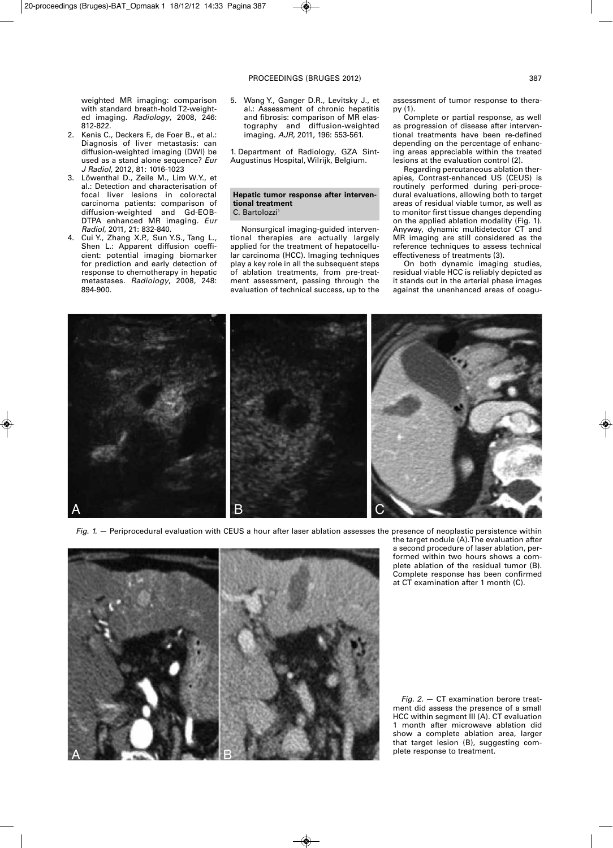# PROCEEDINGS (BRUGES 2012) 387

weighted MR imaging: comparison with standard breath-hold T2-weighted imaging. *Radiology*, 2008, 246: 812-822.

- 2. Kenis C., Deckers F., de Foer B., et al.: Diagnosis of liver metastasis: can diffusion-weighted imaging (DWI) be used as a stand alone sequence? *Eur J Radiol*, 2012, 81: 1016-1023
- 3. Löwenthal D., Zeile M., Lim W.Y., et al.: Detection and characterisation of focal liver lesions in colorectal carcinoma patients: comparison of diffusion-weighted and Gd-EOB-DTPA enhanced MR imaging. *Eur Radiol*, 2011, 21: 832-840.
- 4. Cui Y., Zhang X.P., Sun Y.S., Tang L., Shen L.: Apparent diffusion coefficient: potential imaging biomarker for prediction and early detection of response to chemotherapy in hepatic metastases. *Radiology*, 2008, 248: 894-900.

5. Wang Y., Ganger D.R., Levitsky J., et al.: Assessment of chronic hepatitis and fibrosis: comparison of MR elastography and diffusion-weighted imaging. *AJR*, 2011, 196: 553-561.

1. Department of Radiology, GZA Sint-Augustinus Hospital, Wilrijk, Belgium.

# **Hepatic tumor response after interventional treatment** C. Bartolozzi<sup>1</sup>

Nonsurgical imaging-guided interventional therapies are actually largely applied for the treatment of hepatocellular carcinoma (HCC). Imaging techniques play a key role in all the subsequent steps of ablation treatments, from pre-treatment assessment, passing through the evaluation of technical success, up to the assessment of tumor response to therapy (1).

Complete or partial response, as well as progression of disease after interventional treatments have been re-defined depending on the percentage of enhancing areas appreciable within the treated lesions at the evaluation control (2).

Regarding percutaneous ablation therapies, Contrast-enhanced US (CEUS) is routinely performed during peri-procedural evaluations, allowing both to target areas of residual viable tumor, as well as to monitor first tissue changes depending on the applied ablation modality (Fig. 1). Anyway, dynamic multidetector CT and MR imaging are still considered as the reference techniques to assess technical effectiveness of treatments (3).

On both dynamic imaging studies, residual viable HCC is reliably depicted as it stands out in the arterial phase images against the unenhanced areas of coagu-



*Fig. 1.* — Periprocedural evaluation with CEUS a hour after laser ablation assesses the presence of neoplastic persistence within the target nodule (A).The evaluation after



a second procedure of laser ablation, performed within two hours shows a complete ablation of the residual tumor (B). Complete response has been confirmed at CT examination after 1 month (C).

*Fig. 2.* — CT examination berore treatment did assess the presence of a small HCC within segment III (A). CT evaluation 1 month after microwave ablation did show a complete ablation area, larger that target lesion (B), suggesting complete response to treatment.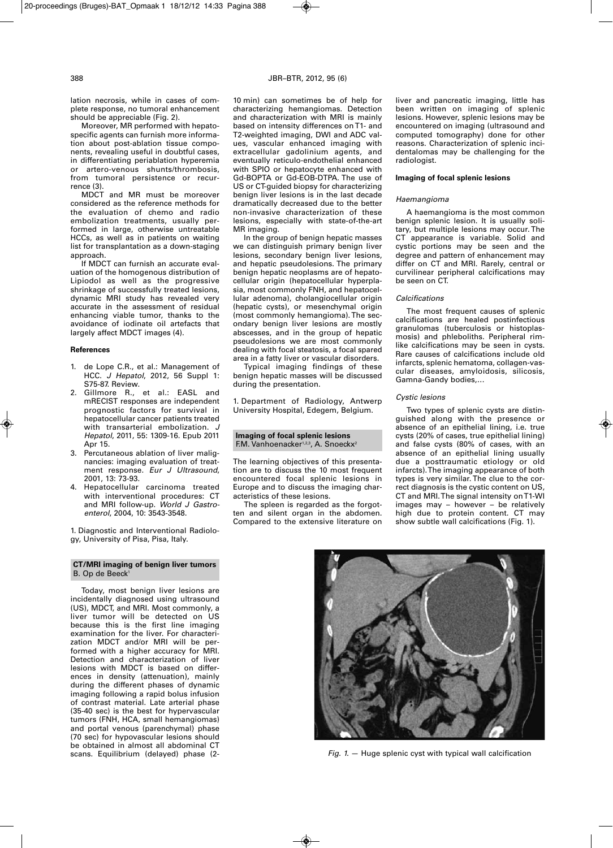Moreover, MR performed with hepatospecific agents can furnish more information about post-ablation tissue components, revealing useful in doubtful cases, in differentiating periablation hyperemia or artero-venous shunts/thrombosis, from tumoral persistence or recurrence (3).

MDCT and MR must be moreover considered as the reference methods for the evaluation of chemo and radio embolization treatments, usually performed in large, otherwise untreatable HCCs, as well as in patients on waiting list for transplantation as a down-staging approach.

If MDCT can furnish an accurate evaluation of the homogenous distribution of Lipiodol as well as the progressive shrinkage of successfully treated lesions, dynamic MRI study has revealed very accurate in the assessment of residual enhancing viable tumor, thanks to the avoidance of iodinate oil artefacts that largely affect MDCT images (4).

# **References**

- 1. de Lope C.R., et al.: Management of HCC. *J Hepatol*, 2012, 56 Suppl 1: S75-87. Review.
- 2. Gillmore R., et al.: EASL and mRECIST responses are independent prognostic factors for survival in hepatocellular cancer patients treated with transarterial embolization. *J Hepatol*, 2011, 55: 1309-16. Epub 2011 Apr 15.
- 3. Percutaneous ablation of liver malignancies: imaging evaluation of treatment response. *Eur J Ultrasound*, 2001, 13: 73-93.
- 4. Hepatocellular carcinoma treated with interventional procedures: CT and MRI follow-up. *World J Gastroenterol*, 2004, 10: 3543-3548.

1. Diagnostic and Interventional Radiology, University of Pisa, Pisa, Italy.

### **CT/MRI imaging of benign liver tumors** B. Op de Beeck1

Today, most benign liver lesions are incidentally diagnosed using ultrasound (US), MDCT, and MRI. Most commonly, a liver tumor will be detected on US because this is the first line imaging examination for the liver. For characterization MDCT and/or MRI will be performed with a higher accuracy for MRI. Detection and characterization of liver lesions with MDCT is based on differences in density (attenuation), mainly during the different phases of dynamic imaging following a rapid bolus infusion of contrast material. Late arterial phase (35-40 sec) is the best for hypervascular tumors (FNH, HCA, small hemangiomas) and portal venous (parenchymal) phase (70 sec) for hypovascular lesions should be obtained in almost all abdominal CT scans. Equilibrium (delayed) phase (210 min) can sometimes be of help for characterizing hemangiomas. Detection and characterization with MRI is mainly based on intensity differences onT1- and T2-weighted imaging, DWI and ADC values, vascular enhanced imaging with extracellular gadolinium agents, and eventually reticulo-endothelial enhanced with SPIO or hepatocyte enhanced with Gd-BOPTA or Gd-EOB-DTPA. The use of US or CT-guided biopsy for characterizing benign liver lesions is in the last decade dramatically decreased due to the better non-invasive characterization of these lesions, especially with state-of-the-art MR imaging.

In the group of benign hepatic masses we can distinguish primary benign liver lesions, secondary benign liver lesions, and hepatic pseudolesions. The primary benign hepatic neoplasms are of hepatocellular origin (hepatocellular hyperplasia, most commonly FNH, and hepatocellular adenoma), cholangiocellular origin (hepatic cysts), or mesenchymal origin (most commonly hemangioma). The secondary benign liver lesions are mostly abscesses, and in the group of hepatic pseudolesions we are most commonly dealing with focal steatosis, a focal spared area in a fatty liver or vascular disorders.

Typical imaging findings of these benign hepatic masses will be discussed during the presentation.

1. Department of Radiology, Antwerp University Hospital, Edegem, Belgium.

### **Imaging of focal splenic lesions** F.M. Vanhoenacker<sup>1,2,3</sup>, A. Snoeckx<sup>2</sup>

The learning objectives of this presentation are to discuss the 10 most frequent encountered focal splenic lesions in Europe and to discuss the imaging characteristics of these lesions.

The spleen is regarded as the forgotten and silent organ in the abdomen. Compared to the extensive literature on liver and pancreatic imaging, little has been written on imaging of splenic lesions. However, splenic lesions may be encountered on imaging (ultrasound and computed tomography) done for other reasons. Characterization of splenic incidentalomas may be challenging for the radiologist.

# **Imaging of focal splenic lesions**

#### *Haemangioma*

A haemangioma is the most common benign splenic lesion. It is usually solitary, but multiple lesions may occur. The CT appearance is variable. Solid and cystic portions may be seen and the degree and pattern of enhancement may differ on CT and MRI. Rarely, central or curvilinear peripheral calcifications may be seen on CT.

# *Calcifications*

The most frequent causes of splenic calcifications are healed postinfectious granulomas (tuberculosis or histoplasmosis) and phleboliths. Peripheral rimlike calcifications may be seen in cysts. Rare causes of calcifications include old infarcts, splenic hematoma, collagen-vascular diseases, amyloidosis, silicosis, Gamna-Gandy bodies,…

# *Cystic lesions*

Two types of splenic cysts are distinguished along with the presence or absence of an epithelial lining, i.e. true cysts (20% of cases, true epithelial lining) and false cysts (80% of cases, with an absence of an epithelial lining usually due a posttraumatic etiology or old infarcts).The imaging appearance of both types is very similar. The clue to the correct diagnosis is the cystic content on US, CT and MRI.The signal intensity onT1-WI images may – however – be relatively high due to protein content. CT may show subtle wall calcifications (Fig. 1).



*Fig. 1.* — Huge splenic cyst with typical wall calcification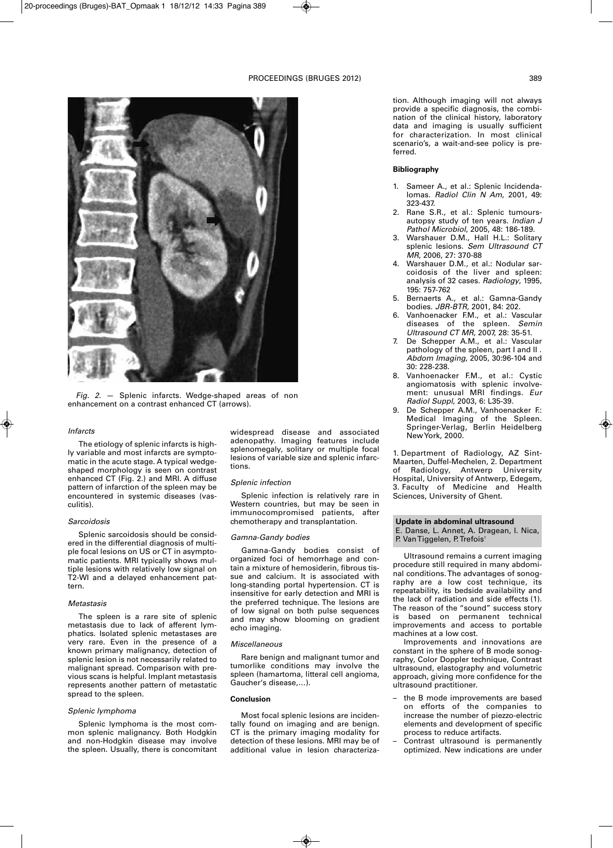

*Fig. 2.* — Splenic infarcts. Wedge-shaped areas of non enhancement on a contrast enhanced CT (arrows).

#### *Infarcts*

The etiology of splenic infarcts is highly variable and most infarcts are symptomatic in the acute stage. A typical wedgeshaped morphology is seen on contrast enhanced CT (Fig. 2.) and MRI. A diffuse pattern of infarction of the spleen may be encountered in systemic diseases (vasculitis).

### *Sarcoidosis*

Splenic sarcoidosis should be considered in the differential diagnosis of multiple focal lesions on US or CT in asymptomatic patients. MRI typically shows multiple lesions with relatively low signal on T2-WI and a delayed enhancement pattern.

#### *Metastasis*

The spleen is a rare site of splenic metastasis due to lack of afferent lymphatics. Isolated splenic metastases are very rare. Even in the presence of a known primary malignancy, detection of splenic lesion is not necessarily related to malignant spread. Comparison with previous scans is helpful. Implant metastasis represents another pattern of metastatic spread to the spleen.

### *Splenic lymphoma*

Splenic lymphoma is the most common splenic malignancy. Both Hodgkin and non-Hodgkin disease may involve the spleen. Usually, there is concomitant widespread disease and associated adenopathy. Imaging features include splenomegaly, solitary or multiple focal lesions of variable size and splenic infarctions.

#### *Splenic infection*

Splenic infection is relatively rare in Western countries, but may be seen in immunocompromised patients, after chemotherapy and transplantation.

# *Gamna-Gandy bodies*

Gamna-Gandy bodies consist of organized foci of hemorrhage and contain a mixture of hemosiderin, fibrous tissue and calcium. It is associated with long-standing portal hypertension. CT is insensitive for early detection and MRI is the preferred technique. The lesions are of low signal on both pulse sequences and may show blooming on gradient echo imaging.

#### *Miscellaneous*

Rare benign and malignant tumor and tumorlike conditions may involve the spleen (hamartoma, litteral cell angioma, Gaucher's disease,…).

#### **Conclusion**

Most focal splenic lesions are incidentally found on imaging and are benign. CT is the primary imaging modality for detection of these lesions. MRI may be of additional value in lesion characterization. Although imaging will not always provide a specific diagnosis, the combination of the clinical history, laboratory data and imaging is usually sufficient for characterization. In most clinical scenario's, a wait-and-see policy is preferred.

# **Bibliography**

- 1. Sameer A., et al.: Splenic Incidendalomas. *Radiol Clin N Am*, 2001, 49: 323-437.
- 2. Rane S.R., et al.: Splenic tumoursautopsy study of ten years. *Indian J Pathol Microbiol*, 2005, 48: 186-189.
- 3. Warshauer D.M., Hall H.L.: Solitary splenic lesions. *Sem Ultrasound CT MR*, 2006, 27: 370-88
- 4. Warshauer D.M., et al.: Nodular sarcoidosis of the liver and spleen: analysis of 32 cases. *Radiology*, 1995, 195: 757-762
- 5. Bernaerts A., et al.: Gamna-Gandy bodies. *JBR-BTR*, 2001, 84: 202.
- 6. Vanhoenacker F.M., et al.: Vascular diseases of the spleen. *Semin Ultrasound CT MR*, 2007, 28: 35-51.
- 7. De Schepper A.M., et al.: Vascular pathology of the spleen, part I and II . *Abdom Imaging*, 2005, 30:96-104 and 30: 228-238.
- 8. Vanhoenacker F.M., et al.: Cystic angiomatosis with splenic involvement: unusual MRI findings. *Eur Radiol Suppl*, 2003, 6: L35-39.
- 9. De Schepper A.M., Vanhoenacker F.: Medical Imaging of the Spleen. Springer-Verlag, Berlin Heidelberg NewYork, 2000.

1. Department of Radiology, AZ Sint-Maarten, Duffel-Mechelen, 2. Department of Radiology, Antwerp University Hospital, University of Antwerp, Edegem, 3. Faculty of Medicine and Health Sciences, University of Ghent.

# **Update in abdominal ultrasound**

E. Danse, L. Annet, A. Dragean, I. Nica, P. Van Tiggelen, P. Trefois<sup>1</sup>

Ultrasound remains a current imaging procedure still required in many abdominal conditions.The advantages of sonography are a low cost technique, its repeatability, its bedside availability and the lack of radiation and side effects (1). The reason of the "sound" success story based on permanent technical improvements and access to portable machines at a low cost.

Improvements and innovations are constant in the sphere of B mode sonography, Color Doppler technique, Contrast ultrasound, elastography and volumetric approach, giving more confidence for the ultrasound practitioner.

- the B mode improvements are based on efforts of the companies to increase the number of piezzo-electric elements and development of specific process to reduce artifacts.
- Contrast ultrasound is permanently optimized. New indications are under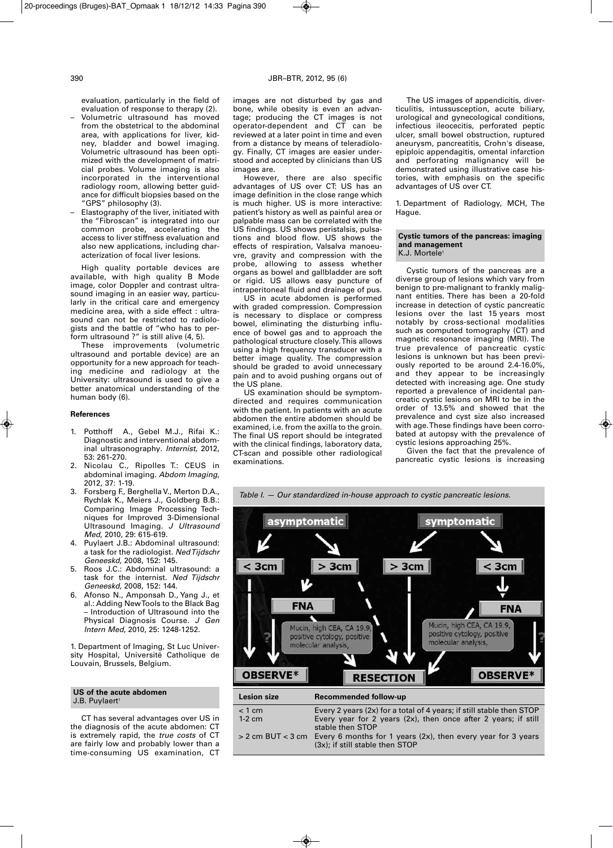evaluation, particularly in the field of evaluation of response to therapy (2).

- Volumetric ultrasound has moved from the obstetrical to the abdominal area, with applications for liver, kidney, bladder and bowel imaging. Volumetric ultrasound has been optimized with the development of matricial probes. Volume imaging is also incorporated in the interventional radiology room, allowing better guidance for difficult biopsies based on the "GPS" philosophy (3).
- Elastography of the liver, initiated with the "Fibroscan" is integrated into our common probe, accelerating the access to liver stiffness evaluation and also new applications, including characterization of focal liver lesions.

High quality portable devices are available, with high quality B Mode image, color Doppler and contrast ultrasound imaging in an easier way, particularly in the critical care and emergency medicine area, with a side effect : ultrasound can not be restricted to radiologists and the battle of "who has to perform ultrasound ?" is still alive (4, 5).

These improvements (volumetric ultrasound and portable device) are an opportunity for a new approach for teaching medicine and radiology at the University: ultrasound is used to give a better anatomical understanding of the human body (6).

# **References**

- 1. Potthoff A., Gebel M.J., Rifai K.: Diagnostic and interventional abdominal ultrasonography*. Internist*, 2012, 53: 261-270.
- 2. Nicolau C., Ripolles T.: CEUS in abdominal imaging. *Abdom Imaging*, 2012, 37: 1-19.
- 3. Forsberg F., Berghella V., Merton D.A., Rychlak K., Meiers J., Goldberg B.B.: Comparing Image Processing Techniques for Improved 3-Dimensional Ultrasound Imaging. *J Ultrasound Med*, 2010, 29: 615-619.
- 4. Puylaert J.B.: Abdominal ultrasound: a task for the radiologist. *NedTijdschr Geneeskd*, 2008, 152: 145.
- 5. Roos J.C.: Abdominal ultrasound: a task for the internist. *Ned Tijdschr Geneeskd*, 2008, 152: 144.
- 6. Afonso N., Amponsah D., Yang J., et al.: Adding NewTools to the Black Bag – Introduction of Ultrasound into the Physical Diagnosis Course*. J Gen Intern Med*, 2010, 25: 1248-1252.

1. Department of Imaging, St Luc University Hospital, Université Catholique de Louvain, Brussels, Belgium.

# **US of the acute abdomen** J.B. Puylaert<sup>1</sup>

CT has several advantages over US in the diagnosis of the acute abdomen: CT is extremely rapid, the *true costs* of CT are fairly low and probably lower than a time-consuming US examination, CT images are not disturbed by gas and bone, while obesity is even an advantage; producing the CT images is not operator-dependent and CT can be reviewed at a later point in time and even from a distance by means of teleradiology. Finally, CT images are easier understood and accepted by clinicians than US images are.

However, there are also specific advantages of US over CT: US has an image definition in the close range which is much higher. US is more interactive: patient's history as well as painful area or palpable mass can be correlated with the US findings. US shows peristalsis, pulsations and blood flow. US shows the effects of respiration, Valsalva manoeuvre, gravity and compression with the probe, allowing to assess whether organs as bowel and gallbladder are soft or rigid. US allows easy puncture of intraperitoneal fluid and drainage of pus.

US in acute abdomen is performed with graded compression. Compression is necessary to displace or compress bowel, eliminating the disturbing influence of bowel gas and to approach the pathological structure closely.This allows using a high frequency transducer with a better image quality. The compression should be graded to avoid unnecessary pain and to avoid pushing organs out of the US plane.

US examination should be symptomdirected and requires communication with the patient. In patients with an acute abdomen the entire abdomen should be examined, i.e. from the axilla to the groin. The final US report should be integrated with the clinical findings, laboratory data, CT-scan and possible other radiological examinations.

The US images of appendicitis, diverticulitis, intussusception, acute biliary, urological and gynecological conditions, infectious ileocecitis, perforated peptic ulcer, small bowel obstruction, ruptured aneurysm, pancreatitis, Crohn's disease, epiploic appendagitis, omental infarction and perforating malignancy will be demonstrated using illustrative case histories, with emphasis on the specific advantages of US over CT.

1. Department of Radiology, MCH, The Hague.

### **Cystic tumors of the pancreas: imaging and management** K.J. Mortele<sup>®</sup>

Cystic tumors of the pancreas are a diverse group of lesions which vary from benign to pre-malignant to frankly malignant entities. There has been a 20-fold increase in detection of cystic pancreatic lesions over the last 15 years most notably by cross-sectional modalities such as computed tomography (CT) and magnetic resonance imaging (MRI). The true prevalence of pancreatic cystic lesions is unknown but has been previously reported to be around 2.4-16.0%, and they appear to be increasingly detected with increasing age. One study reported a prevalence of incidental pancreatic cystic lesions on MRI to be in the order of 13.5% and showed that the prevalence and cyst size also increased with age.These findings have been corrobated at autopsy with the prevalence of cystic lesions approaching 25%.

Given the fact that the prevalence of pancreatic cystic lesions is increasing

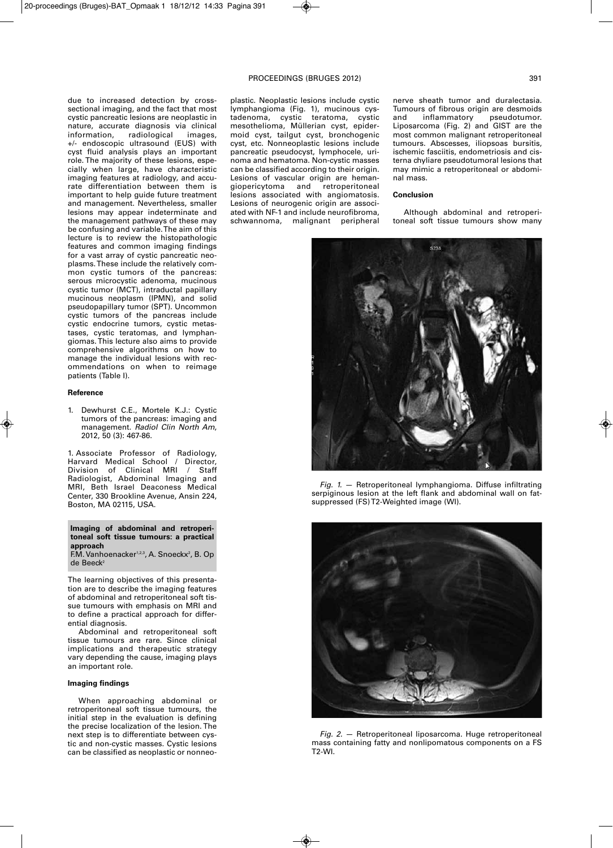due to increased detection by crosssectional imaging, and the fact that most cystic pancreatic lesions are neoplastic in nature, accurate diagnosis via clinical information, radiological images, +/- endoscopic ultrasound (EUS) with cyst fluid analysis plays an important role. The majority of these lesions, especially when large, have characteristic imaging features at radiology, and accurate differentiation between them is important to help guide future treatment and management. Nevertheless, smaller lesions may appear indeterminate and the management pathways of these may be confusing and variable.The aim of this lecture is to review the histopathologic features and common imaging findings for a vast array of cystic pancreatic neoplasms.These include the relatively common cystic tumors of the pancreas: serous microcystic adenoma, mucinous cystic tumor (MCT), intraductal papillary mucinous neoplasm (IPMN), and solid pseudopapillary tumor (SPT). Uncommon cystic tumors of the pancreas include cystic endocrine tumors, cystic metastases, cystic teratomas, and lymphangiomas.This lecture also aims to provide comprehensive algorithms on how to manage the individual lesions with recommendations on when to reimage patients (Table I).

# **Reference**

1. Dewhurst C.E., Mortele K.J.: Cystic tumors of the pancreas: imaging and management. *Radiol Clin North Am*, 2012, 50 (3): 467-86.

1. Associate Professor of Radiology, Harvard Medical School / Director, Division of Clinical MRI / Staff Radiologist, Abdominal Imaging and MRI, Beth Israel Deaconess Medical Center, 330 Brookline Avenue, Ansin 224, Boston, MA 02115, USA.

# **Imaging of abdominal and retroperitoneal soft tissue tumours: a practical approach**

F.M. Vanhoenacker<sup>1,2,3</sup>, A. Snoeckx<sup>2</sup>, B. Op de Beeck<sup>2</sup>

The learning objectives of this presentation are to describe the imaging features of abdominal and retroperitoneal soft tissue tumours with emphasis on MRI and to define a practical approach for differential diagnosis.

Abdominal and retroperitoneal soft tissue tumours are rare. Since clinical implications and therapeutic strategy vary depending the cause, imaging plays an important role.

# **Imaging findings**

When approaching abdominal or retroperitoneal soft tissue tumours, the initial step in the evaluation is defining the precise localization of the lesion. The next step is to differentiate between cystic and non-cystic masses. Cystic lesions can be classified as neoplastic or nonneo-

plastic. Neoplastic lesions include cystic lymphangioma (Fig. 1), mucinous cystadenoma, cystic teratoma, cystic mesothelioma, Müllerian cyst, epidermoid cyst, tailgut cyst, bronchogenic cyst, etc. Nonneoplastic lesions include pancreatic pseudocyst, lymphocele, urinoma and hematoma. Non-cystic masses can be classified according to their origin. Lesions of vascular origin are hemangiopericytoma and retroperitoneal lesions associated with angiomatosis. Lesions of neurogenic origin are associated with NF-1 and include neurofibroma, schwannoma, malignant peripheral nerve sheath tumor and duralectasia. Tumours of fibrous origin are desmoids and inflammatory pseudotumor. Liposarcoma (Fig. 2) and GIST are the most common malignant retroperitoneal tumours. Abscesses, iliopsoas bursitis, ischemic fasciitis, endometriosis and cisterna chyliare pseudotumoral lesions that may mimic a retroperitoneal or abdominal mass.

### **Conclusion**

Although abdominal and retroperitoneal soft tissue tumours show many



*Fig. 1.* — Retroperitoneal lymphangioma. Diffuse infiltrating serpiginous lesion at the left flank and abdominal wall on fatsuppressed (FS)T2-Weighted image (WI).



*Fig. 2.* — Retroperitoneal liposarcoma. Huge retroperitoneal mass containing fatty and nonlipomatous components on a FS T2-WI.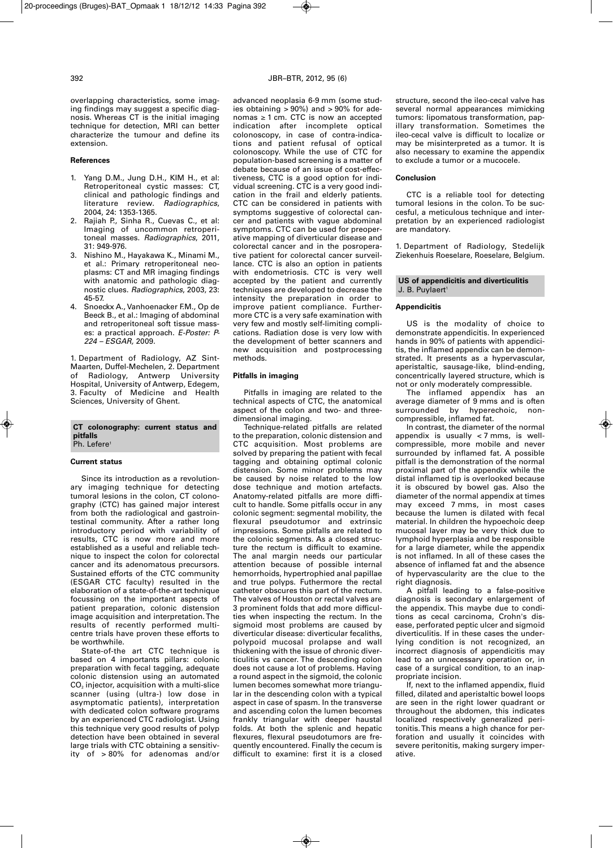overlapping characteristics, some imaging findings may suggest a specific diagnosis. Whereas CT is the initial imaging technique for detection, MRI can better characterize the tumour and define its extension.

### **References**

- 1. Yang D.M., Jung D.H., KIM H., et al: Retroperitoneal cystic masses: CT, clinical and pathologic findings and literature review. *Radiographics*, 2004, 24: 1353-1365.
- 2. Rajiah P., Sinha R., Cuevas C., et al: Imaging of uncommon retroperitoneal masses. *Radiographics*, 2011, 31: 949-976.
- 3. Nishino M., Hayakawa K., Minami M., et al.: Primary retroperitoneal neoplasms: CT and MR imaging findings with anatomic and pathologic diagnostic clues. *Radiographics*, 2003, 23: 45-57.
- 4. Snoeckx A., Vanhoenacker F.M., Op de Beeck B., et al.: Imaging of abdominal and retroperitoneal soft tissue masses: a practical approach. *E-Poster: P-224 – ESGAR,* 2009.

1. Department of Radiology, AZ Sint-Maarten, Duffel-Mechelen, 2. Department of Radiology, Antwerp University Hospital, University of Antwerp, Edegem, 3. Faculty of Medicine and Health Sciences, University of Ghent.

#### **CT colonography: current status and pitfalls** Ph. Lefere<sup>1</sup>

# **Current status**

Since its introduction as a revolutionary imaging technique for detecting tumoral lesions in the colon, CT colonography (CTC) has gained major interest from both the radiological and gastrointestinal community. After a rather long introductory period with variability of results, CTC is now more and more established as a useful and reliable technique to inspect the colon for colorectal cancer and its adenomatous precursors. Sustained efforts of the CTC community (ESGAR CTC faculty) resulted in the elaboration of a state-of-the-art technique focussing on the important aspects of patient preparation, colonic distension image acquisition and interpretation.The results of recently performed multicentre trials have proven these efforts to be worthwhile.

State-of-the art CTC technique is based on 4 importants pillars: colonic preparation with fecal tagging, adequate colonic distension using an automated CO<sub>2</sub> injector, acquisition with a multi-slice scanner (using (ultra-) low dose in asymptomatic patients), interpretation with dedicated colon software programs by an experienced CTC radiologist. Using this technique very good results of polyp detection have been obtained in several large trials with CTC obtaining a sensitivity of > 80% for adenomas and/or

advanced neoplasia 6-9 mm (some studies obtaining > 90%) and > 90% for adenomas ≥ 1 cm. CTC is now an accepted indication after incomplete optical colonoscopy, in case of contra-indications and patient refusal of optical colonoscopy. While the use of CTC for population-based screening is a matter of debate because of an issue of cost-effectiveness, CTC is a good option for individual screening. CTC is a very good indication in the frail and elderly patients. CTC can be considered in patients with symptoms suggestive of colorectal cancer and patients with vague abdominal symptoms. CTC can be used for preoperative mapping of diverticular disease and colorectal cancer and in the posroperative patient for colorectal cancer surveillance. CTC is also an option in patients with endometriosis. CTC is very well accepted by the patient and currently techniques are developed to decrease the intensity the preparation in order to improve patient compliance. Furthermore CTC is a very safe examination with very few and mostly self-limiting complications. Radiation dose is very low with the development of better scanners and new acquisition and postprocessing methods.

# **Pitfalls in imaging**

Pitfalls in imaging are related to the technical aspects of CTC, the anatomical aspect of the colon and two- and threedimensional imaging.

Technique-related pitfalls are related to the preparation, colonic distension and CTC acquisition. Most problems are solved by preparing the patient with fecal tagging and obtaining optimal colonic distension. Some minor problems may be caused by noise related to the low dose technique and motion artefacts. Anatomy-related pitfalls are more difficult to handle. Some pitfalls occur in any colonic segment: segmental mobility, the flexural pseudotumor and extrinsic impressions. Some pitfalls are related to the colonic segments. As a closed structure the rectum is difficult to examine. The anal margin needs our particular attention because of possible internal hemorrhoids, hypertrophied anal papillae and true polyps. Futhermore the rectal catheter obscures this part of the rectum. The valves of Houston or rectal valves are 3 prominent folds that add more difficulties when inspecting the rectum. In the sigmoid most problems are caused by diverticular disease: diverticular fecaliths, polypoid mucosal prolapse and wall thickening with the issue of chronic diverticulitis vs cancer. The descending colon does not cause a lot of problems. Having a round aspect in the sigmoid, the colonic lumen becomes somewhat more triangular in the descending colon with a typical aspect in case of spasm. In the transverse and ascending colon the lumen becomes frankly triangular with deeper haustal folds. At both the splenic and hepatic flexures, flexural pseudotumors are frequently encountered. Finally the cecum is difficult to examine: first it is a closed

structure, second the ileo-cecal valve has several normal appearances mimicking tumors: lipomatous transformation, papillary transformation. Sometimes the ileo-cecal valve is difficult to localize or may be misinterpreted as a tumor. It is also necessary to examine the appendix to exclude a tumor or a mucocele.

### **Conclusion**

CTC is a reliable tool for detecting tumoral lesions in the colon. To be succesful, a meticulous technique and interpretation by an experienced radiologist are mandatory.

1. Department of Radiology, Stedelijk Ziekenhuis Roeselare, Roeselare, Belgium.

# **US of appendicitis and diverticulitis** J. B. Puylaert<sup>1</sup>

# **Appendicitis**

US is the modality of choice to demonstrate appendicitis. In experienced hands in 90% of patients with appendicitis, the inflamed appendix can be demonstrated. It presents as a hypervascular, aperistaltic, sausage-like, blind-ending, concentrically layered structure, which is not or only moderately compressible.

The inflamed appendix has an average diameter of 9 mms and is often surrounded by hyperechoic, noncompressible, inflamed fat.

In contrast, the diameter of the normal appendix is usually < 7 mms, is wellcompressible, more mobile and never surrounded by inflamed fat. A possible pitfall is the demonstration of the normal proximal part of the appendix while the distal inflamed tip is overlooked because it is obscured by bowel gas. Also the diameter of the normal appendix at times may exceed 7 mms, in most cases because the lumen is dilated with fecal material. In children the hypoechoic deep mucosal layer may be very thick due to lymphoid hyperplasia and be responsible for a large diameter, while the appendix is not inflamed. In all of these cases the absence of inflamed fat and the absence of hypervascularity are the clue to the right diagnosis.

A pitfall leading to a false-positive diagnosis is secondary enlargement of the appendix. This maybe due to conditions as cecal carcinoma, Crohn's disease, perforated peptic ulcer and sigmoid diverticulitis. If in these cases the underlying condition is not recognized, an incorrect diagnosis of appendicitis may lead to an unnecessary operation or, in case of a surgical condition, to an inappropriate incision.

If, next to the inflamed appendix, fluid filled, dilated and aperistaltic bowel loops are seen in the right lower quadrant or throughout the abdomen, this indicates localized respectively generalized peritonitis.This means a high chance for perforation and usually it coincides with severe peritonitis, making surgery imperative.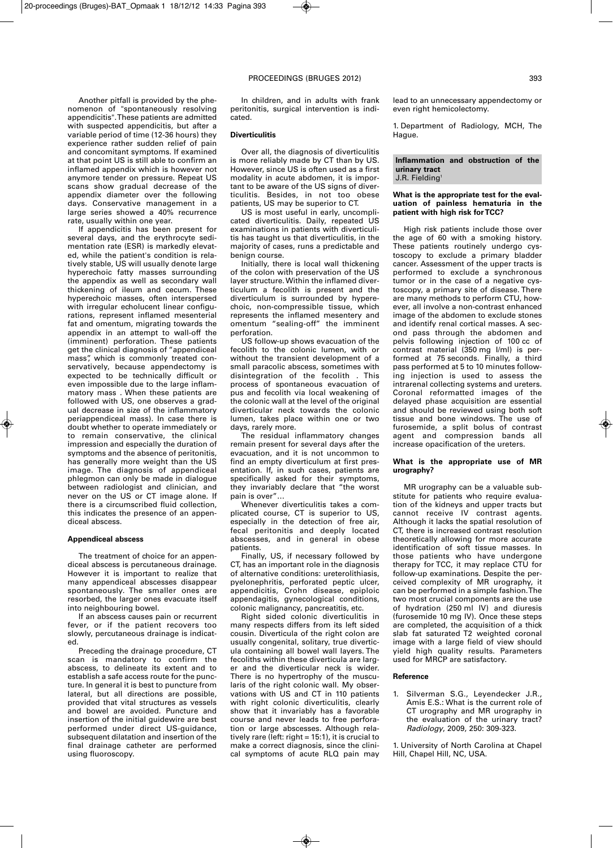Another pitfall is provided by the phenomenon of "spontaneously resolving appendicitis".These patients are admitted with suspected appendicitis, but after a variable period of time (12-36 hours) they experience rather sudden relief of pain and concomitant symptoms. If examined at that point US is still able to confirm an inflamed appendix which is however not anymore tender on pressure. Repeat US scans show gradual decrease of the appendix diameter over the following days. Conservative management in a large series showed a 40% recurrence rate, usually within one year.

If appendicitis has been present for several days, and the erythrocyte sedimentation rate (ESR) is markedly elevated, while the patient's condition is relatively stable, US will usually denote large hyperechoic fatty masses surrounding the appendix as well as secondary wall thickening of ileum and cecum. These hyperechoic masses, often interspersed with irregular echolucent linear configurations, represent inflamed mesenterial fat and omentum, migrating towards the appendix in an attempt to wall-off the (imminent) perforation. These patients get the clinical diagnosis of "appendiceal mass", which is commonly treated conservatively, because appendectomy is expected to be technically difficult or even impossible due to the large inflammatory mass . When these patients are followed with US, one observes a gradual decrease in size of the inflammatory periappendiceal mass)*.* In case there is doubt whether to operate immediately or to remain conservative, the clinical impression and especially the duration of symptoms and the absence of peritonitis, has generally more weight than the US image. The diagnosis of appendiceal phlegmon can only be made in dialogue between radiologist and clinician, and never on the US or CT image alone. If there is a circumscribed fluid collection, this indicates the presence of an appendiceal abscess.

# **Appendiceal abscess**

The treatment of choice for an annendiceal abscess is percutaneous drainage. However it is important to realize that many appendiceal abscesses disappear spontaneously. The smaller ones are resorbed, the larger ones evacuate itself into neighbouring bowel.

If an abscess causes pain or recurrent fever, or if the patient recovers too slowly, percutaneous drainage is indicated.

Preceding the drainage procedure, CT scan is mandatory to confirm the abscess, to delineate its extent and to establish a safe access route for the puncture. In general it is best to puncture from lateral, but all directions are possible, provided that vital structures as vessels and bowel are avoided. Puncture and insertion of the initial guidewire are best performed under direct US-guidance, subsequent dilatation and insertion of the final drainage catheter are performed using fluoroscopy.

In children, and in adults with frank peritonitis, surgical intervention is indicated.

# **Diverticulitis**

Over all, the diagnosis of diverticulitis is more reliably made by CT than by US. However, since US is often used as a first modality in acute abdomen, it is important to be aware of the US signs of diverticulitis. Besides, in not too obese patients, US may be superior to CT.

US is most useful in early, uncomplicated diverticulitis. Daily, repeated US examinations in patients with diverticulitis has taught us that diverticulitis, in the majority of cases, runs a predictable and benign course.

Initially, there is local wall thickening of the colon with preservation of the US layer structure.Within the inflamed diverticulum a fecolith is present and the diverticulum is surrounded by hyperechoic, non-compressible tissue, which represents the inflamed mesentery and omentum "sealing-off" the imminent perforation.

US follow-up shows evacuation of the fecolith to the colonic lumen, with or without the transient development of a small paracolic abscess, sometimes with disintegration of the fecolith . This process of spontaneous evacuation of pus and fecolith via local weakening of the colonic wall at the level of the original diverticular neck towards the colonic lumen, takes place within one or two days, rarely more.

The residual inflammatory changes remain present for several days after the evacuation, and it is not uncommon to find an empty diverticulum at first presentation. If, in such cases, patients are specifically asked for their symptoms, they invariably declare that "the worst pain is over"…

Whenever diverticulitis takes a complicated course, CT is superior to US, especially in the detection of free air, fecal peritonitis and deeply located abscesses, and in general in obese patients.

Finally, US, if necessary followed by CT, has an important role in the diagnosis of alternative conditions: ureterolithiasis, pyelonephritis, perforated peptic ulcer, appendicitis, Crohn disease, epiploic appendagitis, gynecological conditions, colonic malignancy, pancreatitis, etc.

Right sided colonic diverticulitis in many respects differs from its left sided cousin. Diverticula of the right colon are usually congenital, solitary, true diverticula containing all bowel wall layers. The fecoliths within these diverticula are larger and the diverticular neck is wider. There is no hypertrophy of the muscularis of the right colonic wall. My observations with US and CT in 110 patients with right colonic diverticulitis, clearly show that it invariably has a favorable course and never leads to free perforation or large abscesses. Although relatively rare (left: right = 15:1), it is crucial to make a correct diagnosis, since the clinical symptoms of acute RLQ pain may lead to an unnecessary appendectomy or even right hemicolectomy.

1. Department of Radiology, MCH, The Hague.

**Inflammation and obstruction of the urinary tract** J.R. Fielding1

# **What is the appropriate test for the evaluation of painless hematuria in the patient with high risk for TCC?**

High risk patients include those over the age of 60 with a smoking history. These patients routinely undergo cystoscopy to exclude a primary bladder cancer. Assessment of the upper tracts is performed to exclude a synchronous tumor or in the case of a negative cystoscopy, a primary site of disease. There are many methods to perform CTU, however, all involve a non-contrast enhanced image of the abdomen to exclude stones and identify renal cortical masses. A second pass through the abdomen and pelvis following injection of 100 cc of contrast material (350 mg I/ml) is performed at 75 seconds. Finally, a third pass performed at 5 to 10 minutes following injection is used to assess the intrarenal collecting systems and ureters. Coronal reformatted images of the delayed phase acquisition are essential and should be reviewed using both soft tissue and bone windows. The use of furosemide, a split bolus of contrast agent and compression bands all increase opacification of the ureters.

# **What is the appropriate use of MR urography?**

MR urography can be a valuable substitute for patients who require evaluation of the kidneys and upper tracts but cannot receive IV contrast agents. Although it lacks the spatial resolution of CT, there is increased contrast resolution theoretically allowing for more accurate identification of soft tissue masses. In those patients who have undergone therapy for TCC, it may replace CTU for follow-up examinations. Despite the perceived complexity of MR urography, it can be performed in a simple fashion.The two most crucial components are the use of hydration (250 ml IV) and diuresis (furosemide 10 mg IV). Once these steps are completed, the acquisition of a thick slab fat saturated T2 weighted coronal image with a large field of view should yield high quality results. Parameters used for MRCP are satisfactory.

#### **Reference**

1. Silverman S.G., Leyendecker J.R., Amis E.S.: What is the current role of CT urography and MR urography in the evaluation of the urinary tract? *Radiology*, 2009, 250: 309-323.

1. University of North Carolina at Chapel Hill, Chapel Hill, NC, USA.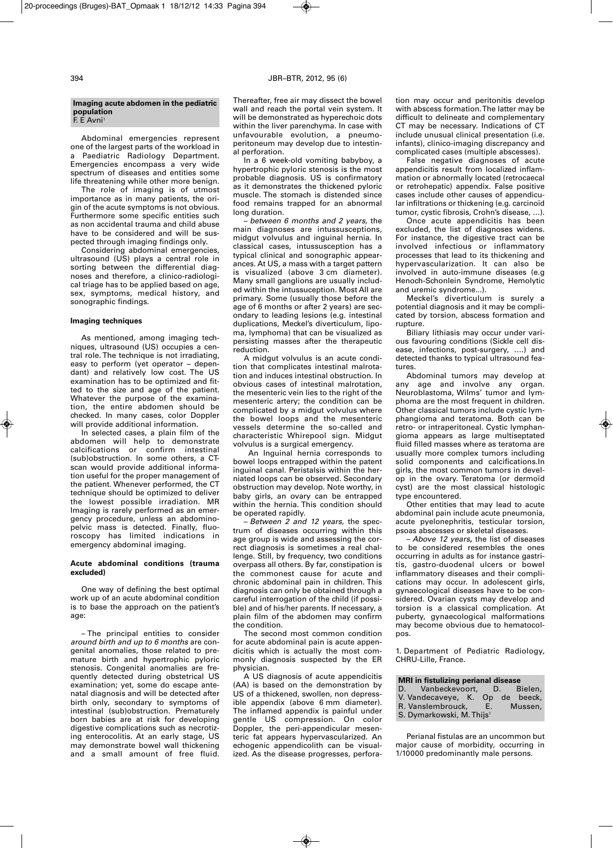# 394 JBR–BTR, 2012, 95 (6)

# **Imaging acute abdomen in the pediatric population** F. E Avni 1

Abdominal emergencies represent one of the largest parts of the workload in a Paediatric Radiology Department. Emergencies encompass a very wide spectrum of diseases and entities some

life threatening while other more benign. The role of imaging is of utmost importance as in many patients, the origin of the acute symptoms is not obvious. Furthermore some specific entities such as non accidental trauma and child abuse have to be considered and will be suspected through imaging findings only.

Considering abdominal emergencies, ultrasound (US) plays a central role in sorting between the differential diagnoses and therefore, a clinico-radiological triage has to be applied based on age, sex, symptoms, medical history, and sonographic findings.

### **Imaging techniques**

As mentioned, among imaging techniques, ultrasound (US) occupies a central role. The technique is not irradiating, easy to perform (yet operator – dependant) and relatively low cost. The US examination has to be optimized and fitted to the size and age of the patient. Whatever the purpose of the examination, the entire abdomen should be checked. In many cases, color Doppler will provide additional information.

In selected cases, a plain film of the abdomen will help to demonstrate calcifications or confirm intestinal (sub)obstruction. In some others, a CTscan would provide additional information useful for the proper management of the patient. Whenever performed, the CT technique should be optimized to deliver the lowest possible irradiation. MR Imaging is rarely performed as an emergency procedure, unless an abdominopelvic mass is detected. Finally, fluoroscopy has limited indications in emergency abdominal imaging.

# **Acute abdominal conditions (trauma excluded)**

One way of defining the best optimal work up of an acute abdominal condition is to base the approach on the patient's age:

– The principal entities to consider *around birth and up to 6 months* are congenital anomalies, those related to premature birth and hypertrophic pyloric stenosis. Congenital anomalies are frequently detected during obstetrical US examination; yet, some do escape antenatal diagnosis and will be detected after birth only, secondary to symptoms of intestinal (sub)obstruction. Prematurely born babies are at risk for developing digestive complications such as necrotizing enterocolitis. At an early stage, US may demonstrate bowel wall thickening and a small amount of free fluid. Thereafter, free air may dissect the bowel wall and reach the portal vein system. It will be demonstrated as hyperechoic dots within the liver parenchyma. In case with unfavourable evolution, a pneumoperitoneum may develop due to intestinal perforation.

In a 6 week-old vomiting babyboy, a hypertrophic pyloric stenosis is the most probable diagnosis. US is confirmatory as it demonstrates the thickened pyloric muscle. The stomach is distended since food remains trapped for an abnormal long duration.

– *between 6 months and 2 years,* the main diagnoses are intussusceptions, midgut volvulus and inguinal hernia. In classical cases, intussusception has a typical clinical and sonographic appearances. At US, a mass with a target pattern is visualized (above 3 cm diameter). Many small ganglions are usually included within the intussuception. Most AII are primary. Some (usually those before the age of 6 months or after 2 years) are secondary to leading lesions (e.g. intestinal duplications, Meckel's diverticulum, lipoma, lymphoma) that can be visualized as persisting masses after the therapeutic reduction.

A midgut volvulus is an acute condition that complicates intestinal malrotation and induces intestinal obstruction. In obvious cases of intestinal malrotation, the mesenteric vein lies to the right of the mesenteric artery; the condition can be complicated by a midgut volvulus where the bowel loops and the mesenteric vessels determine the so-called and characteristic Whirepool sign. Midgut volvulus is a surgical emergency.

An Inguinal hernia corresponds to bowel loops entrapped within the patent inguinal canal. Peristalsis within the herniated loops can be observed. Secondary obstruction may develop. Note worthy, in baby girls, an ovary can be entrapped within the hernia. This condition should be operated rapidly.

– *Between 2 and 12 years,* the spectrum of diseases occurring within this age group is wide and assessing the correct diagnosis is sometimes a real challenge. Still, by frequency, two conditions overpass all others. By far, constipation is the commonest cause for acute and chronic abdominal pain in children. This diagnosis can only be obtained through a careful interrogation of the child (if possible) and of his/her parents. If necessary, a plain film of the abdomen may confirm the condition.

The second most common condition for acute abdominal pain is acute appendicitis which is actually the most commonly diagnosis suspected by the ER physician.

A US diagnosis of acute appendicitis (AA) is based on the demonstration by US of a thickened, swollen, non depressible appendix (above 6 mm diameter). The inflamed appendix is painful under gentle US compression. On color Doppler, the peri-appendicular mesenteric fat appears hypervascularized. An echogenic appendicolith can be visualized. As the disease progresses, perforation may occur and peritonitis develop with abscess formation.The latter may be difficult to delineate and complementary CT may be necessary. Indications of CT include unusual clinical presentation (i.e. infants), clinico-imaging discrepancy and complicated cases (multiple abscesses).

False negative diagnoses of acute appendicitis result from localized inflammation or abnormally located (retrocaecal or retrohepatic) appendix. False positive cases include other causes of appendicular infiltrations or thickening (e.g. carcinoïd tumor, cystic fibrosis, Crohn's disease, …).

Once acute appendicitis has been excluded, the list of diagnoses widens. For instance, the digestive tract can be involved infectious or inflammatory processes that lead to its thickening and hypervascularization. It can also be involved in auto-immune diseases (e.g Henoch-Schonlein Syndrome, Hemolytic and uremic syndrome...).

Meckel's diverticulum is surely a potential diagnosis and it may be complicated by torsion, abscess formation and rupture.

Biliary lithiasis may occur under various favouring conditions (Sickle cell disease, infections, post-surgery, ….) and detected thanks to typical ultrasound features.

Abdominal tumors may develop at any age and involve any organ. Neuroblastoma, Wilms' tumor and lymphoma are the most frequent in children. Other classical tumors include cystic lymphangioma and teratoma. Both can be retro- or intraperitoneal. Cystic lymphangioma appears as large multiseptated fluid filled masses where as teratoma are usually more complex tumors including solid components and calcifications.In girls, the most common tumors in develop in the ovary. Teratoma (or dermoïd cyst) are the most classical histologic type encountered.

Other entities that may lead to acute abdominal pain include acute pneumonia, acute pyelonephritis, testicular torsion, psoas abscesses or skeletal diseases.

– *Above 12 years,* the list of diseases to be considered resembles the ones occurring in adults as for instance gastritis, gastro-duodenal ulcers or bowel inflammatory diseases and their complications may occur. In adolescent girls, gynaecological diseases have to be considered. Ovarian cysts may develop and torsion is a classical complication. At puberty, gynaecological malformations may become obvious due to hematocolpos.

1. Department of Pediatric Radiology, CHRU-Lille, France.

**MRI in fistulizing perianal disease** D. Vanbeckevoort, V. Vandecaveye, K. Op de beeck,<br>R. Vanslembrouck, E. Mussen, R. Vanslembrouck, E. S. Dymarkowski, M. Thijs<sup>1</sup>

Perianal fistulas are an uncommon but major cause of morbidity, occurring in 1/10000 predominantly male persons.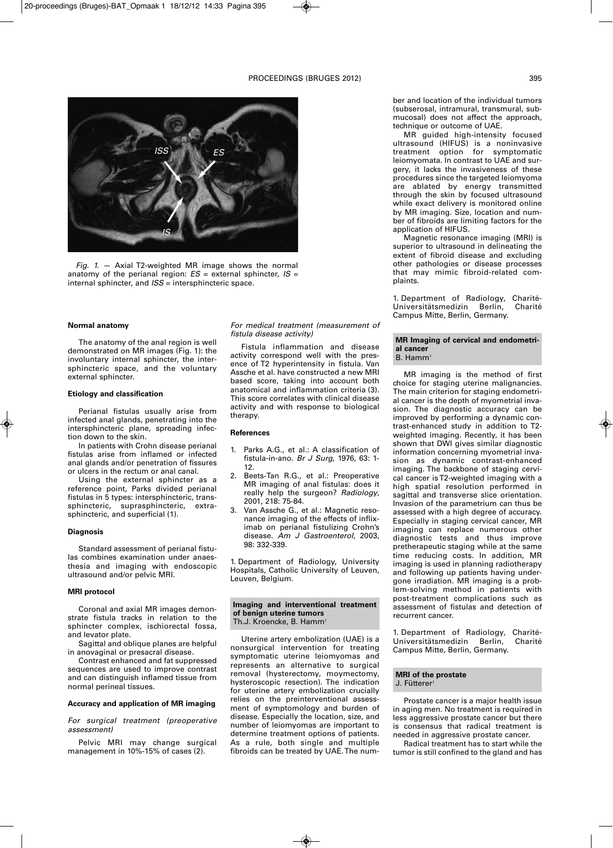

*Fig. 1.* — Axial T2-weighted MR image shows the normal anatomy of the perianal region: *ES* = external sphincter, *IS* = internal sphincter, and *ISS* = intersphincteric space.

# **Normal anatomy**

The anatomy of the anal region is well demonstrated on MR images (Fig. 1): the involuntary internal sphincter, the intersphincteric space, and the voluntary external sphincter.

# **Etiology and classification**

Perianal fistulas usually arise from infected anal glands, penetrating into the intersphincteric plane, spreading infection down to the skin.

In patients with Crohn disease perianal fistulas arise from inflamed or infected anal glands and/or penetration of fissures or ulcers in the rectum or anal canal.

Using the external sphincter as a reference point, Parks divided perianal fistulas in 5 types: intersphincteric, transsphincteric, suprasphincteric, extrasphincteric, and superficial (1).

# **Diagnosis**

Standard assessment of perianal fistulas combines examination under anaesthesia and imaging with endoscopic ultrasound and/or pelvic MRI.

# **MRI protocol**

Coronal and axial MR images demonstrate fistula tracks in relation to the sphincter complex, ischiorectal fossa, and levator plate.

Sagittal and oblique planes are helpful in anovaginal or presacral disease.

Contrast enhanced and fat suppressed sequences are used to improve contrast and can distinguish inflamed tissue from normal perineal tissues.

# **Accuracy and application of MR imaging**

*For surgical treatment (preoperative assessment)*

Pelvic MRI may change surgical management in 10%-15% of cases (2).

*For medical treatment (measurement of fistula disease activity)*

Fistula inflammation and disease activity correspond well with the presence of T2 hyperintensity in fistula. Van Assche et al. have constructed a new MRI based score, taking into account both anatomical and inflammation criteria (3). This score correlates with clinical disease activity and with response to biological therapy.

# **References**

- 1. Parks A.G., et al.: A classification of fistula-in-ano. *Br J Surg*, 1976, 63: 1- 12.
- 2. Beets-Tan R.G., et al.: Preoperative MR imaging of anal fistulas: does it really help the surgeon? *Radiology*, 2001, 218: 75-84.
- Van Assche G., et al.: Magnetic resonance imaging of the effects of infliximab on perianal fistulizing Crohn's disease. *Am J Gastroenterol*, 2003, 98: 332-339.

1. Department of Radiology, University Hospitals, Catholic University of Leuven, Leuven, Belgium.

#### **Imaging and interventional treatment of benign uterine tumors** Th.J. Kroencke, B. Hamm<sup>1</sup>

Uterine artery embolization (UAE) is a nonsurgical intervention for treating symptomatic uterine leiomyomas and represents an alternative to surgical removal (hysterectomy, moymectomy, hysteroscopic resection). The indication for uterine artery embolization crucially relies on the preinterventional assessment of symptomology and burden of disease. Especially the location, size, and number of leiomyomas are important to determine treatment options of patients. As a rule, both single and multiple fibroids can be treated by UAE.The number and location of the individual tumors (subserosal, intramural, transmural, submucosal) does not affect the approach, technique or outcome of UAE.

MR guided high-intensity focused ultrasound (HIFUS) is a noninvasive treatment option for symptomatic leiomyomata. In contrast to UAE and surgery, it lacks the invasiveness of these procedures since the targeted leiomyoma are ablated by energy transmitted through the skin by focused ultrasound while exact delivery is monitored online by MR imaging. Size, location and number of fibroids are limiting factors for the application of HIFUS.

Magnetic resonance imaging (MRI) is superior to ultrasound in delineating the extent of fibroid disease and excluding other pathologies or disease processes that may mimic fibroid-related complaints.

1. Department of Radiology, Charité-<br>Universitätsmedizin Berlin, Charité Universitätsmedizin Berlin, Campus Mitte, Berlin, Germany.

### **MR Imaging of cervical and endometrial cancer** B. Hamm<sup>1</sup>

MR imaging is the method of first choice for staging uterine malignancies. The main criterion for staging endometrial cancer is the depth of myometrial invasion. The diagnostic accuracy can be improved by performing a dynamic contrast-enhanced study in addition to T2 weighted imaging. Recently, it has been shown that DWI gives similar diagnostic information concerning myometrial invasion as dynamic contrast-enhanced imaging. The backbone of staging cervical cancer is T2-weighted imaging with a high spatial resolution performed in sagittal and transverse slice orientation. Invasion of the parametrium can thus be assessed with a high degree of accuracy. Especially in staging cervical cancer, MR imaging can replace numerous other diagnostic tests and thus improve pretherapeutic staging while at the same time reducing costs. In addition, MR imaging is used in planning radiotherapy and following up patients having undergone irradiation. MR imaging is a problem-solving method in patients with post-treatment complications such as assessment of fistulas and detection of recurrent cancer.

1. Department of Radiology, Charité-Universitätsmedizin Berlin, Charité Campus Mitte, Berlin, Germany.

# **MRI of the prostate** J. Fütterer1

Prostate cancer is a major health issue in aging men. No treatment is required in less aggressive prostate cancer but there is consensus that radical treatment is needed in aggressive prostate cancer.

Radical treatment has to start while the tumor is still confined to the gland and has